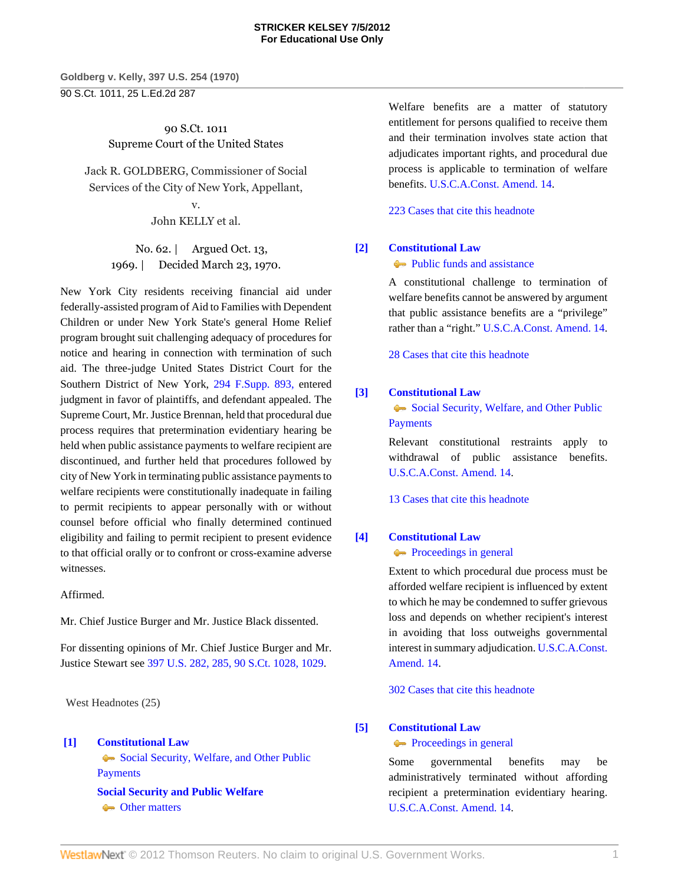**Goldberg v. Kelly, 397 U.S. 254 (1970)** 90 S.Ct. 1011, 25 L.Ed.2d 287

> 90 S.Ct. 1011 Supreme Court of the United States

Jack R. GOLDBERG, Commissioner of Social Services of the City of New York, Appellant,

> v. John KELLY et al.

No. 62. | Argued Oct. 13, 1969. | Decided March 23, 1970.

New York City residents receiving financial aid under federally-assisted program of Aid to Families with Dependent Children or under New York State's general Home Relief program brought suit challenging adequacy of procedures for notice and hearing in connection with termination of such aid. The three-judge United States District Court for the Southern District of New York, [294 F.Supp. 893,](http://www.westlaw.com/Link/Document/FullText?findType=Y&serNum=1968115544&pubNum=345&originationContext=document&vr=3.0&rs=cblt1.0&transitionType=DocumentItem&contextData=(sc.UserEnteredCitation)) entered judgment in favor of plaintiffs, and defendant appealed. The Supreme Court, Mr. Justice Brennan, held that procedural due process requires that pretermination evidentiary hearing be held when public assistance payments to welfare recipient are discontinued, and further held that procedures followed by city of New York in terminating public assistance payments to welfare recipients were constitutionally inadequate in failing to permit recipients to appear personally with or without counsel before official who finally determined continued eligibility and failing to permit recipient to present evidence to that official orally or to confront or cross-examine adverse witnesses.

Affirmed.

Mr. Chief Justice Burger and Mr. Justice Black dissented.

For dissenting opinions of Mr. Chief Justice Burger and Mr. Justice Stewart see [397 U.S. 282, 285, 90 S.Ct. 1028, 1029.](http://www.westlaw.com/Link/Document/FullText?findType=Y&serNum=1970241805&pubNum=708&originationContext=document&vr=3.0&rs=cblt1.0&transitionType=DocumentItem&contextData=(sc.UserEnteredCitation)#co_pp_sp_708_1029)

West Headnotes (25)

<span id="page-0-0"></span>**[\[1\]](#page-5-0) [Constitutional Law](http://www.westlaw.com/Browse/Home/KeyNumber/92/View.html?docGuid=I2361955a9c1e11d9bdd1cfdd544ca3a4&originationContext=document&vr=3.0&rs=cblt1.0&transitionType=DocumentItem&contextData=(sc.UserEnteredCitation))** [Social Security, Welfare, and Other Public](http://www.westlaw.com/Browse/Home/KeyNumber/92XXVII(G)5/View.html?docGuid=I2361955a9c1e11d9bdd1cfdd544ca3a4&originationContext=document&vr=3.0&rs=cblt1.0&transitionType=DocumentItem&contextData=(sc.UserEnteredCitation)) [Payments](http://www.westlaw.com/Browse/Home/KeyNumber/92XXVII(G)5/View.html?docGuid=I2361955a9c1e11d9bdd1cfdd544ca3a4&originationContext=document&vr=3.0&rs=cblt1.0&transitionType=DocumentItem&contextData=(sc.UserEnteredCitation))

> **[Social Security and Public Welfare](http://www.westlaw.com/Browse/Home/KeyNumber/356A/View.html?docGuid=I2361955a9c1e11d9bdd1cfdd544ca3a4&originationContext=document&vr=3.0&rs=cblt1.0&transitionType=DocumentItem&contextData=(sc.UserEnteredCitation))** • [Other matters](http://www.westlaw.com/Browse/Home/KeyNumber/356Ak4.16/View.html?docGuid=I2361955a9c1e11d9bdd1cfdd544ca3a4&originationContext=document&vr=3.0&rs=cblt1.0&transitionType=DocumentItem&contextData=(sc.UserEnteredCitation))

Welfare benefits are a matter of statutory entitlement for persons qualified to receive them and their termination involves state action that adjudicates important rights, and procedural due process is applicable to termination of welfare benefits. [U.S.C.A.Const. Amend. 14](http://www.westlaw.com/Link/Document/FullText?findType=L&pubNum=1000546&cite=USCOAMENDXIV&originatingDoc=I2361955a9c1e11d9bdd1cfdd544ca3a4&refType=LQ&originationContext=document&vr=3.0&rs=cblt1.0&transitionType=DocumentItem&contextData=(sc.UserEnteredCitation)).

[223 Cases that cite this headnote](http://www.westlaw.com/Link/RelatedInformation/DocHeadnoteLink?docGuid=I2361955a9c1e11d9bdd1cfdd544ca3a4&headnoteId=197013419850820120627220957&originationContext=document&vr=3.0&rs=cblt1.0&transitionType=CitingReferences&contextData=(sc.UserEnteredCitation))

# <span id="page-0-1"></span>**[\[2\]](#page-5-1) [Constitutional Law](http://www.westlaw.com/Browse/Home/KeyNumber/92/View.html?docGuid=I2361955a9c1e11d9bdd1cfdd544ca3a4&originationContext=document&vr=3.0&rs=cblt1.0&transitionType=DocumentItem&contextData=(sc.UserEnteredCitation))**

**[Public funds and assistance](http://www.westlaw.com/Browse/Home/KeyNumber/92k2646/View.html?docGuid=I2361955a9c1e11d9bdd1cfdd544ca3a4&originationContext=document&vr=3.0&rs=cblt1.0&transitionType=DocumentItem&contextData=(sc.UserEnteredCitation))** 

A constitutional challenge to termination of welfare benefits cannot be answered by argument that public assistance benefits are a "privilege" rather than a "right." [U.S.C.A.Const. Amend. 14.](http://www.westlaw.com/Link/Document/FullText?findType=L&pubNum=1000546&cite=USCOAMENDXIV&originatingDoc=I2361955a9c1e11d9bdd1cfdd544ca3a4&refType=LQ&originationContext=document&vr=3.0&rs=cblt1.0&transitionType=DocumentItem&contextData=(sc.UserEnteredCitation))

[28 Cases that cite this headnote](http://www.westlaw.com/Link/RelatedInformation/DocHeadnoteLink?docGuid=I2361955a9c1e11d9bdd1cfdd544ca3a4&headnoteId=197013419850320120627220957&originationContext=document&vr=3.0&rs=cblt1.0&transitionType=CitingReferences&contextData=(sc.UserEnteredCitation))

### <span id="page-0-2"></span>**[\[3\]](#page-5-2) [Constitutional Law](http://www.westlaw.com/Browse/Home/KeyNumber/92/View.html?docGuid=I2361955a9c1e11d9bdd1cfdd544ca3a4&originationContext=document&vr=3.0&rs=cblt1.0&transitionType=DocumentItem&contextData=(sc.UserEnteredCitation))**

[Social Security, Welfare, and Other Public](http://www.westlaw.com/Browse/Home/KeyNumber/92XXVII(G)5/View.html?docGuid=I2361955a9c1e11d9bdd1cfdd544ca3a4&originationContext=document&vr=3.0&rs=cblt1.0&transitionType=DocumentItem&contextData=(sc.UserEnteredCitation)) [Payments](http://www.westlaw.com/Browse/Home/KeyNumber/92XXVII(G)5/View.html?docGuid=I2361955a9c1e11d9bdd1cfdd544ca3a4&originationContext=document&vr=3.0&rs=cblt1.0&transitionType=DocumentItem&contextData=(sc.UserEnteredCitation))

Relevant constitutional restraints apply to withdrawal of public assistance benefits. [U.S.C.A.Const. Amend. 14](http://www.westlaw.com/Link/Document/FullText?findType=L&pubNum=1000546&cite=USCOAMENDXIV&originatingDoc=I2361955a9c1e11d9bdd1cfdd544ca3a4&refType=LQ&originationContext=document&vr=3.0&rs=cblt1.0&transitionType=DocumentItem&contextData=(sc.UserEnteredCitation)).

[13 Cases that cite this headnote](http://www.westlaw.com/Link/RelatedInformation/DocHeadnoteLink?docGuid=I2361955a9c1e11d9bdd1cfdd544ca3a4&headnoteId=197013419850920120627220957&originationContext=document&vr=3.0&rs=cblt1.0&transitionType=CitingReferences&contextData=(sc.UserEnteredCitation))

# <span id="page-0-3"></span>**[\[4\]](#page-5-3) [Constitutional Law](http://www.westlaw.com/Browse/Home/KeyNumber/92/View.html?docGuid=I2361955a9c1e11d9bdd1cfdd544ca3a4&originationContext=document&vr=3.0&rs=cblt1.0&transitionType=DocumentItem&contextData=(sc.UserEnteredCitation))**

**[Proceedings in general](http://www.westlaw.com/Browse/Home/KeyNumber/92k4116/View.html?docGuid=I2361955a9c1e11d9bdd1cfdd544ca3a4&originationContext=document&vr=3.0&rs=cblt1.0&transitionType=DocumentItem&contextData=(sc.UserEnteredCitation))** 

Extent to which procedural due process must be afforded welfare recipient is influenced by extent to which he may be condemned to suffer grievous loss and depends on whether recipient's interest in avoiding that loss outweighs governmental interest in summary adjudication. [U.S.C.A.Const.](http://www.westlaw.com/Link/Document/FullText?findType=L&pubNum=1000546&cite=USCOAMENDXIV&originatingDoc=I2361955a9c1e11d9bdd1cfdd544ca3a4&refType=LQ&originationContext=document&vr=3.0&rs=cblt1.0&transitionType=DocumentItem&contextData=(sc.UserEnteredCitation)) [Amend. 14](http://www.westlaw.com/Link/Document/FullText?findType=L&pubNum=1000546&cite=USCOAMENDXIV&originatingDoc=I2361955a9c1e11d9bdd1cfdd544ca3a4&refType=LQ&originationContext=document&vr=3.0&rs=cblt1.0&transitionType=DocumentItem&contextData=(sc.UserEnteredCitation)).

[302 Cases that cite this headnote](http://www.westlaw.com/Link/RelatedInformation/DocHeadnoteLink?docGuid=I2361955a9c1e11d9bdd1cfdd544ca3a4&headnoteId=197013419851020120627220957&originationContext=document&vr=3.0&rs=cblt1.0&transitionType=CitingReferences&contextData=(sc.UserEnteredCitation))

# <span id="page-0-4"></span>**[\[5\]](#page-5-4) [Constitutional Law](http://www.westlaw.com/Browse/Home/KeyNumber/92/View.html?docGuid=I2361955a9c1e11d9bdd1cfdd544ca3a4&originationContext=document&vr=3.0&rs=cblt1.0&transitionType=DocumentItem&contextData=(sc.UserEnteredCitation))**

**[Proceedings in general](http://www.westlaw.com/Browse/Home/KeyNumber/92k4116/View.html?docGuid=I2361955a9c1e11d9bdd1cfdd544ca3a4&originationContext=document&vr=3.0&rs=cblt1.0&transitionType=DocumentItem&contextData=(sc.UserEnteredCitation))** 

Some governmental benefits may be administratively terminated without affording recipient a pretermination evidentiary hearing. [U.S.C.A.Const. Amend. 14](http://www.westlaw.com/Link/Document/FullText?findType=L&pubNum=1000546&cite=USCOAMENDXIV&originatingDoc=I2361955a9c1e11d9bdd1cfdd544ca3a4&refType=LQ&originationContext=document&vr=3.0&rs=cblt1.0&transitionType=DocumentItem&contextData=(sc.UserEnteredCitation)).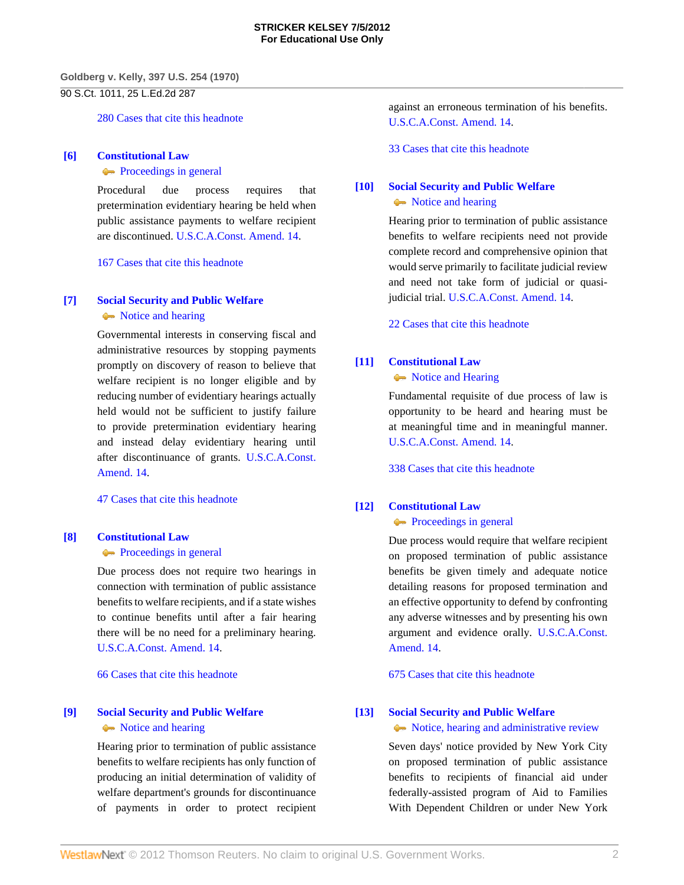90 S.Ct. 1011, 25 L.Ed.2d 287

[280 Cases that cite this headnote](http://www.westlaw.com/Link/RelatedInformation/DocHeadnoteLink?docGuid=I2361955a9c1e11d9bdd1cfdd544ca3a4&headnoteId=197013419850720120627220957&originationContext=document&vr=3.0&rs=cblt1.0&transitionType=CitingReferences&contextData=(sc.UserEnteredCitation))

# <span id="page-1-0"></span>**[\[6\]](#page-5-5) [Constitutional Law](http://www.westlaw.com/Browse/Home/KeyNumber/92/View.html?docGuid=I2361955a9c1e11d9bdd1cfdd544ca3a4&originationContext=document&vr=3.0&rs=cblt1.0&transitionType=DocumentItem&contextData=(sc.UserEnteredCitation))**

**[Proceedings in general](http://www.westlaw.com/Browse/Home/KeyNumber/92k4116/View.html?docGuid=I2361955a9c1e11d9bdd1cfdd544ca3a4&originationContext=document&vr=3.0&rs=cblt1.0&transitionType=DocumentItem&contextData=(sc.UserEnteredCitation))** 

Procedural due process requires that pretermination evidentiary hearing be held when public assistance payments to welfare recipient are discontinued. [U.S.C.A.Const. Amend. 14](http://www.westlaw.com/Link/Document/FullText?findType=L&pubNum=1000546&cite=USCOAMENDXIV&originatingDoc=I2361955a9c1e11d9bdd1cfdd544ca3a4&refType=LQ&originationContext=document&vr=3.0&rs=cblt1.0&transitionType=DocumentItem&contextData=(sc.UserEnteredCitation)).

[167 Cases that cite this headnote](http://www.westlaw.com/Link/RelatedInformation/DocHeadnoteLink?docGuid=I2361955a9c1e11d9bdd1cfdd544ca3a4&headnoteId=197013419851120120627220957&originationContext=document&vr=3.0&rs=cblt1.0&transitionType=CitingReferences&contextData=(sc.UserEnteredCitation))

# <span id="page-1-1"></span>**[\[7\]](#page-6-0) [Social Security and Public Welfare](http://www.westlaw.com/Browse/Home/KeyNumber/356A/View.html?docGuid=I2361955a9c1e11d9bdd1cfdd544ca3a4&originationContext=document&vr=3.0&rs=cblt1.0&transitionType=DocumentItem&contextData=(sc.UserEnteredCitation))**

• [Notice and hearing](http://www.westlaw.com/Browse/Home/KeyNumber/356Ak8.5/View.html?docGuid=I2361955a9c1e11d9bdd1cfdd544ca3a4&originationContext=document&vr=3.0&rs=cblt1.0&transitionType=DocumentItem&contextData=(sc.UserEnteredCitation))

Governmental interests in conserving fiscal and administrative resources by stopping payments promptly on discovery of reason to believe that welfare recipient is no longer eligible and by reducing number of evidentiary hearings actually held would not be sufficient to justify failure to provide pretermination evidentiary hearing and instead delay evidentiary hearing until after discontinuance of grants. [U.S.C.A.Const.](http://www.westlaw.com/Link/Document/FullText?findType=L&pubNum=1000546&cite=USCOAMENDXIV&originatingDoc=I2361955a9c1e11d9bdd1cfdd544ca3a4&refType=LQ&originationContext=document&vr=3.0&rs=cblt1.0&transitionType=DocumentItem&contextData=(sc.UserEnteredCitation)) [Amend. 14](http://www.westlaw.com/Link/Document/FullText?findType=L&pubNum=1000546&cite=USCOAMENDXIV&originatingDoc=I2361955a9c1e11d9bdd1cfdd544ca3a4&refType=LQ&originationContext=document&vr=3.0&rs=cblt1.0&transitionType=DocumentItem&contextData=(sc.UserEnteredCitation)).

[47 Cases that cite this headnote](http://www.westlaw.com/Link/RelatedInformation/DocHeadnoteLink?docGuid=I2361955a9c1e11d9bdd1cfdd544ca3a4&headnoteId=197013419851820120627220957&originationContext=document&vr=3.0&rs=cblt1.0&transitionType=CitingReferences&contextData=(sc.UserEnteredCitation))

# <span id="page-1-2"></span>**[\[8\]](#page-6-1) [Constitutional Law](http://www.westlaw.com/Browse/Home/KeyNumber/92/View.html?docGuid=I2361955a9c1e11d9bdd1cfdd544ca3a4&originationContext=document&vr=3.0&rs=cblt1.0&transitionType=DocumentItem&contextData=(sc.UserEnteredCitation))**

### **[Proceedings in general](http://www.westlaw.com/Browse/Home/KeyNumber/92k4116/View.html?docGuid=I2361955a9c1e11d9bdd1cfdd544ca3a4&originationContext=document&vr=3.0&rs=cblt1.0&transitionType=DocumentItem&contextData=(sc.UserEnteredCitation))**

Due process does not require two hearings in connection with termination of public assistance benefits to welfare recipients, and if a state wishes to continue benefits until after a fair hearing there will be no need for a preliminary hearing. [U.S.C.A.Const. Amend. 14](http://www.westlaw.com/Link/Document/FullText?findType=L&pubNum=1000546&cite=USCOAMENDXIV&originatingDoc=I2361955a9c1e11d9bdd1cfdd544ca3a4&refType=LQ&originationContext=document&vr=3.0&rs=cblt1.0&transitionType=DocumentItem&contextData=(sc.UserEnteredCitation)).

[66 Cases that cite this headnote](http://www.westlaw.com/Link/RelatedInformation/DocHeadnoteLink?docGuid=I2361955a9c1e11d9bdd1cfdd544ca3a4&headnoteId=197013419851220120627220957&originationContext=document&vr=3.0&rs=cblt1.0&transitionType=CitingReferences&contextData=(sc.UserEnteredCitation))

# <span id="page-1-3"></span>**[\[9\]](#page-6-2) [Social Security and Public Welfare](http://www.westlaw.com/Browse/Home/KeyNumber/356A/View.html?docGuid=I2361955a9c1e11d9bdd1cfdd544ca3a4&originationContext=document&vr=3.0&rs=cblt1.0&transitionType=DocumentItem&contextData=(sc.UserEnteredCitation))** • [Notice and hearing](http://www.westlaw.com/Browse/Home/KeyNumber/356Ak8.5/View.html?docGuid=I2361955a9c1e11d9bdd1cfdd544ca3a4&originationContext=document&vr=3.0&rs=cblt1.0&transitionType=DocumentItem&contextData=(sc.UserEnteredCitation))

Hearing prior to termination of public assistance benefits to welfare recipients has only function of producing an initial determination of validity of welfare department's grounds for discontinuance of payments in order to protect recipient

against an erroneous termination of his benefits. [U.S.C.A.Const. Amend. 14](http://www.westlaw.com/Link/Document/FullText?findType=L&pubNum=1000546&cite=USCOAMENDXIV&originatingDoc=I2361955a9c1e11d9bdd1cfdd544ca3a4&refType=LQ&originationContext=document&vr=3.0&rs=cblt1.0&transitionType=DocumentItem&contextData=(sc.UserEnteredCitation)).

[33 Cases that cite this headnote](http://www.westlaw.com/Link/RelatedInformation/DocHeadnoteLink?docGuid=I2361955a9c1e11d9bdd1cfdd544ca3a4&headnoteId=197013419851920120627220957&originationContext=document&vr=3.0&rs=cblt1.0&transitionType=CitingReferences&contextData=(sc.UserEnteredCitation))

# <span id="page-1-4"></span>**[\[10\]](#page-6-3) [Social Security and Public Welfare](http://www.westlaw.com/Browse/Home/KeyNumber/356A/View.html?docGuid=I2361955a9c1e11d9bdd1cfdd544ca3a4&originationContext=document&vr=3.0&rs=cblt1.0&transitionType=DocumentItem&contextData=(sc.UserEnteredCitation))**

# $\rightarrow$  [Notice and hearing](http://www.westlaw.com/Browse/Home/KeyNumber/356Ak8.5/View.html?docGuid=I2361955a9c1e11d9bdd1cfdd544ca3a4&originationContext=document&vr=3.0&rs=cblt1.0&transitionType=DocumentItem&contextData=(sc.UserEnteredCitation))

Hearing prior to termination of public assistance benefits to welfare recipients need not provide complete record and comprehensive opinion that would serve primarily to facilitate judicial review and need not take form of judicial or quasijudicial trial. [U.S.C.A.Const. Amend. 14](http://www.westlaw.com/Link/Document/FullText?findType=L&pubNum=1000546&cite=USCOAMENDXIV&originatingDoc=I2361955a9c1e11d9bdd1cfdd544ca3a4&refType=LQ&originationContext=document&vr=3.0&rs=cblt1.0&transitionType=DocumentItem&contextData=(sc.UserEnteredCitation)).

[22 Cases that cite this headnote](http://www.westlaw.com/Link/RelatedInformation/DocHeadnoteLink?docGuid=I2361955a9c1e11d9bdd1cfdd544ca3a4&headnoteId=197013419852020120627220957&originationContext=document&vr=3.0&rs=cblt1.0&transitionType=CitingReferences&contextData=(sc.UserEnteredCitation))

# <span id="page-1-5"></span>**[\[11\]](#page-6-4) [Constitutional Law](http://www.westlaw.com/Browse/Home/KeyNumber/92/View.html?docGuid=I2361955a9c1e11d9bdd1cfdd544ca3a4&originationContext=document&vr=3.0&rs=cblt1.0&transitionType=DocumentItem&contextData=(sc.UserEnteredCitation))**

### • [Notice and Hearing](http://www.westlaw.com/Browse/Home/KeyNumber/92k3878/View.html?docGuid=I2361955a9c1e11d9bdd1cfdd544ca3a4&originationContext=document&vr=3.0&rs=cblt1.0&transitionType=DocumentItem&contextData=(sc.UserEnteredCitation))

Fundamental requisite of due process of law is opportunity to be heard and hearing must be at meaningful time and in meaningful manner. [U.S.C.A.Const. Amend. 14](http://www.westlaw.com/Link/Document/FullText?findType=L&pubNum=1000546&cite=USCOAMENDXIV&originatingDoc=I2361955a9c1e11d9bdd1cfdd544ca3a4&refType=LQ&originationContext=document&vr=3.0&rs=cblt1.0&transitionType=DocumentItem&contextData=(sc.UserEnteredCitation)).

[338 Cases that cite this headnote](http://www.westlaw.com/Link/RelatedInformation/DocHeadnoteLink?docGuid=I2361955a9c1e11d9bdd1cfdd544ca3a4&headnoteId=197013419850420120627220957&originationContext=document&vr=3.0&rs=cblt1.0&transitionType=CitingReferences&contextData=(sc.UserEnteredCitation))

# <span id="page-1-6"></span>**[\[12\]](#page-6-5) [Constitutional Law](http://www.westlaw.com/Browse/Home/KeyNumber/92/View.html?docGuid=I2361955a9c1e11d9bdd1cfdd544ca3a4&originationContext=document&vr=3.0&rs=cblt1.0&transitionType=DocumentItem&contextData=(sc.UserEnteredCitation))**

### **[Proceedings in general](http://www.westlaw.com/Browse/Home/KeyNumber/92k4116/View.html?docGuid=I2361955a9c1e11d9bdd1cfdd544ca3a4&originationContext=document&vr=3.0&rs=cblt1.0&transitionType=DocumentItem&contextData=(sc.UserEnteredCitation))**

Due process would require that welfare recipient on proposed termination of public assistance benefits be given timely and adequate notice detailing reasons for proposed termination and an effective opportunity to defend by confronting any adverse witnesses and by presenting his own argument and evidence orally. [U.S.C.A.Const.](http://www.westlaw.com/Link/Document/FullText?findType=L&pubNum=1000546&cite=USCOAMENDXIV&originatingDoc=I2361955a9c1e11d9bdd1cfdd544ca3a4&refType=LQ&originationContext=document&vr=3.0&rs=cblt1.0&transitionType=DocumentItem&contextData=(sc.UserEnteredCitation)) [Amend. 14](http://www.westlaw.com/Link/Document/FullText?findType=L&pubNum=1000546&cite=USCOAMENDXIV&originatingDoc=I2361955a9c1e11d9bdd1cfdd544ca3a4&refType=LQ&originationContext=document&vr=3.0&rs=cblt1.0&transitionType=DocumentItem&contextData=(sc.UserEnteredCitation)).

[675 Cases that cite this headnote](http://www.westlaw.com/Link/RelatedInformation/DocHeadnoteLink?docGuid=I2361955a9c1e11d9bdd1cfdd544ca3a4&headnoteId=197013419851320120627220957&originationContext=document&vr=3.0&rs=cblt1.0&transitionType=CitingReferences&contextData=(sc.UserEnteredCitation))

# <span id="page-1-7"></span>**[\[13\]](#page-7-0) [Social Security and Public Welfare](http://www.westlaw.com/Browse/Home/KeyNumber/356A/View.html?docGuid=I2361955a9c1e11d9bdd1cfdd544ca3a4&originationContext=document&vr=3.0&rs=cblt1.0&transitionType=DocumentItem&contextData=(sc.UserEnteredCitation))**

### $\blacklozenge$  [Notice, hearing and administrative review](http://www.westlaw.com/Browse/Home/KeyNumber/356Ak194.16(2)/View.html?docGuid=I2361955a9c1e11d9bdd1cfdd544ca3a4&originationContext=document&vr=3.0&rs=cblt1.0&transitionType=DocumentItem&contextData=(sc.UserEnteredCitation))

Seven days' notice provided by New York City on proposed termination of public assistance benefits to recipients of financial aid under federally-assisted program of Aid to Families With Dependent Children or under New York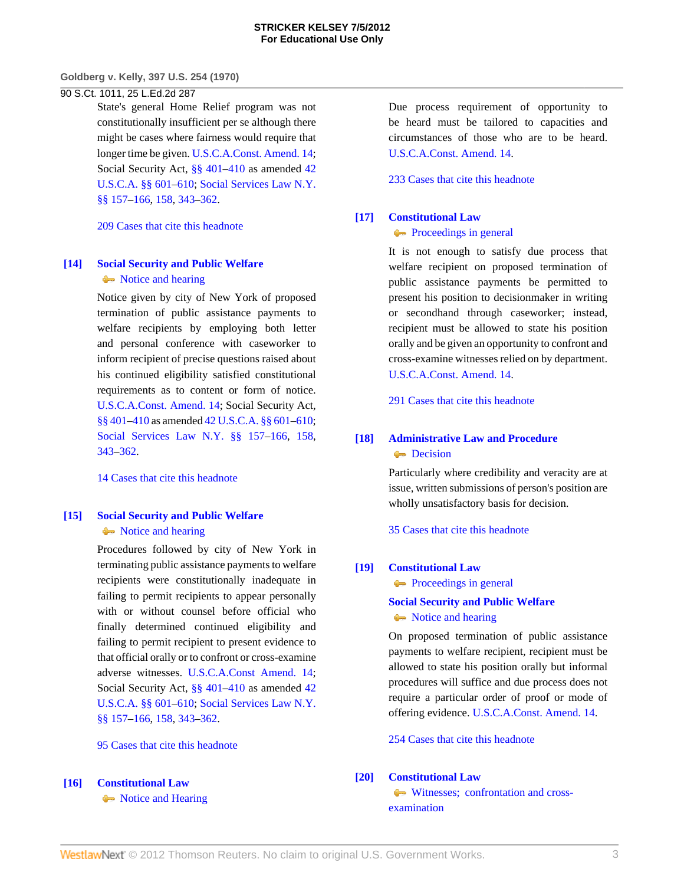# **Goldberg v. Kelly, 397 U.S. 254 (1970)**

### 90 S.Ct. 1011, 25 L.Ed.2d 287

State's general Home Relief program was not constitutionally insufficient per se although there might be cases where fairness would require that longer time be given. [U.S.C.A.Const. Amend. 14](http://www.westlaw.com/Link/Document/FullText?findType=L&pubNum=1000546&cite=USCOAMENDXIV&originatingDoc=I2361955a9c1e11d9bdd1cfdd544ca3a4&refType=LQ&originationContext=document&vr=3.0&rs=cblt1.0&transitionType=DocumentItem&contextData=(sc.UserEnteredCitation)); Social Security Act, [§§ 401](http://www.westlaw.com/Link/Document/FullText?findType=L&pubNum=1000546&cite=42USCAS401&originatingDoc=I2361955a9c1e11d9bdd1cfdd544ca3a4&refType=LQ&originationContext=document&vr=3.0&rs=cblt1.0&transitionType=DocumentItem&contextData=(sc.UserEnteredCitation))[–410](http://www.westlaw.com/Link/Document/FullText?findType=L&pubNum=1000546&cite=42USCAS410&originatingDoc=I2361955a9c1e11d9bdd1cfdd544ca3a4&refType=LQ&originationContext=document&vr=3.0&rs=cblt1.0&transitionType=DocumentItem&contextData=(sc.UserEnteredCitation)) as amended [42](http://www.westlaw.com/Link/Document/FullText?findType=L&pubNum=1000546&cite=42USCAS601&originatingDoc=I2361955a9c1e11d9bdd1cfdd544ca3a4&refType=LQ&originationContext=document&vr=3.0&rs=cblt1.0&transitionType=DocumentItem&contextData=(sc.UserEnteredCitation)) [U.S.C.A. §§ 601–](http://www.westlaw.com/Link/Document/FullText?findType=L&pubNum=1000546&cite=42USCAS601&originatingDoc=I2361955a9c1e11d9bdd1cfdd544ca3a4&refType=LQ&originationContext=document&vr=3.0&rs=cblt1.0&transitionType=DocumentItem&contextData=(sc.UserEnteredCitation))[610;](http://www.westlaw.com/Link/Document/FullText?findType=L&pubNum=1000546&cite=42USCAS610&originatingDoc=I2361955a9c1e11d9bdd1cfdd544ca3a4&refType=LQ&originationContext=document&vr=3.0&rs=cblt1.0&transitionType=DocumentItem&contextData=(sc.UserEnteredCitation)) [Social Services Law N.Y.](http://www.westlaw.com/Link/Document/FullText?findType=L&pubNum=1000136&cite=NYSVS157&originatingDoc=I2361955a9c1e11d9bdd1cfdd544ca3a4&refType=LQ&originationContext=document&vr=3.0&rs=cblt1.0&transitionType=DocumentItem&contextData=(sc.UserEnteredCitation)) [§§ 157](http://www.westlaw.com/Link/Document/FullText?findType=L&pubNum=1000136&cite=NYSVS157&originatingDoc=I2361955a9c1e11d9bdd1cfdd544ca3a4&refType=LQ&originationContext=document&vr=3.0&rs=cblt1.0&transitionType=DocumentItem&contextData=(sc.UserEnteredCitation))–[166](http://www.westlaw.com/Link/Document/FullText?findType=L&pubNum=1000136&cite=NYSVS166&originatingDoc=I2361955a9c1e11d9bdd1cfdd544ca3a4&refType=LQ&originationContext=document&vr=3.0&rs=cblt1.0&transitionType=DocumentItem&contextData=(sc.UserEnteredCitation)), [158](http://www.westlaw.com/Link/Document/FullText?findType=L&pubNum=1000136&cite=NYSVS158&originatingDoc=I2361955a9c1e11d9bdd1cfdd544ca3a4&refType=LQ&originationContext=document&vr=3.0&rs=cblt1.0&transitionType=DocumentItem&contextData=(sc.UserEnteredCitation)), [343](http://www.westlaw.com/Link/Document/FullText?findType=L&pubNum=1000136&cite=NYSVS343&originatingDoc=I2361955a9c1e11d9bdd1cfdd544ca3a4&refType=LQ&originationContext=document&vr=3.0&rs=cblt1.0&transitionType=DocumentItem&contextData=(sc.UserEnteredCitation))–[362](http://www.westlaw.com/Link/Document/FullText?findType=L&pubNum=1000136&cite=NYSVS362&originatingDoc=I2361955a9c1e11d9bdd1cfdd544ca3a4&refType=LQ&originationContext=document&vr=3.0&rs=cblt1.0&transitionType=DocumentItem&contextData=(sc.UserEnteredCitation)).

[209 Cases that cite this headnote](http://www.westlaw.com/Link/RelatedInformation/DocHeadnoteLink?docGuid=I2361955a9c1e11d9bdd1cfdd544ca3a4&headnoteId=197013419851720120627220957&originationContext=document&vr=3.0&rs=cblt1.0&transitionType=CitingReferences&contextData=(sc.UserEnteredCitation))

# <span id="page-2-0"></span>**[\[14\]](#page-7-1) [Social Security and Public Welfare](http://www.westlaw.com/Browse/Home/KeyNumber/356A/View.html?docGuid=I2361955a9c1e11d9bdd1cfdd544ca3a4&originationContext=document&vr=3.0&rs=cblt1.0&transitionType=DocumentItem&contextData=(sc.UserEnteredCitation))**

### • [Notice and hearing](http://www.westlaw.com/Browse/Home/KeyNumber/356Ak8.5/View.html?docGuid=I2361955a9c1e11d9bdd1cfdd544ca3a4&originationContext=document&vr=3.0&rs=cblt1.0&transitionType=DocumentItem&contextData=(sc.UserEnteredCitation))

Notice given by city of New York of proposed termination of public assistance payments to welfare recipients by employing both letter and personal conference with caseworker to inform recipient of precise questions raised about his continued eligibility satisfied constitutional requirements as to content or form of notice. [U.S.C.A.Const. Amend. 14;](http://www.westlaw.com/Link/Document/FullText?findType=L&pubNum=1000546&cite=USCOAMENDXIV&originatingDoc=I2361955a9c1e11d9bdd1cfdd544ca3a4&refType=LQ&originationContext=document&vr=3.0&rs=cblt1.0&transitionType=DocumentItem&contextData=(sc.UserEnteredCitation)) Social Security Act, [§§ 401–](http://www.westlaw.com/Link/Document/FullText?findType=L&pubNum=1000546&cite=42USCAS401&originatingDoc=I2361955a9c1e11d9bdd1cfdd544ca3a4&refType=LQ&originationContext=document&vr=3.0&rs=cblt1.0&transitionType=DocumentItem&contextData=(sc.UserEnteredCitation))[410](http://www.westlaw.com/Link/Document/FullText?findType=L&pubNum=1000546&cite=42USCAS410&originatingDoc=I2361955a9c1e11d9bdd1cfdd544ca3a4&refType=LQ&originationContext=document&vr=3.0&rs=cblt1.0&transitionType=DocumentItem&contextData=(sc.UserEnteredCitation)) as amended [42 U.S.C.A. §§ 601](http://www.westlaw.com/Link/Document/FullText?findType=L&pubNum=1000546&cite=42USCAS601&originatingDoc=I2361955a9c1e11d9bdd1cfdd544ca3a4&refType=LQ&originationContext=document&vr=3.0&rs=cblt1.0&transitionType=DocumentItem&contextData=(sc.UserEnteredCitation))[–610](http://www.westlaw.com/Link/Document/FullText?findType=L&pubNum=1000546&cite=42USCAS610&originatingDoc=I2361955a9c1e11d9bdd1cfdd544ca3a4&refType=LQ&originationContext=document&vr=3.0&rs=cblt1.0&transitionType=DocumentItem&contextData=(sc.UserEnteredCitation)); [Social Services Law N.Y. §§ 157](http://www.westlaw.com/Link/Document/FullText?findType=L&pubNum=1000136&cite=NYSVS157&originatingDoc=I2361955a9c1e11d9bdd1cfdd544ca3a4&refType=LQ&originationContext=document&vr=3.0&rs=cblt1.0&transitionType=DocumentItem&contextData=(sc.UserEnteredCitation))[–166](http://www.westlaw.com/Link/Document/FullText?findType=L&pubNum=1000136&cite=NYSVS166&originatingDoc=I2361955a9c1e11d9bdd1cfdd544ca3a4&refType=LQ&originationContext=document&vr=3.0&rs=cblt1.0&transitionType=DocumentItem&contextData=(sc.UserEnteredCitation)), [158](http://www.westlaw.com/Link/Document/FullText?findType=L&pubNum=1000136&cite=NYSVS158&originatingDoc=I2361955a9c1e11d9bdd1cfdd544ca3a4&refType=LQ&originationContext=document&vr=3.0&rs=cblt1.0&transitionType=DocumentItem&contextData=(sc.UserEnteredCitation)), [343](http://www.westlaw.com/Link/Document/FullText?findType=L&pubNum=1000136&cite=NYSVS343&originatingDoc=I2361955a9c1e11d9bdd1cfdd544ca3a4&refType=LQ&originationContext=document&vr=3.0&rs=cblt1.0&transitionType=DocumentItem&contextData=(sc.UserEnteredCitation))–[362](http://www.westlaw.com/Link/Document/FullText?findType=L&pubNum=1000136&cite=NYSVS362&originatingDoc=I2361955a9c1e11d9bdd1cfdd544ca3a4&refType=LQ&originationContext=document&vr=3.0&rs=cblt1.0&transitionType=DocumentItem&contextData=(sc.UserEnteredCitation)).

[14 Cases that cite this headnote](http://www.westlaw.com/Link/RelatedInformation/DocHeadnoteLink?docGuid=I2361955a9c1e11d9bdd1cfdd544ca3a4&headnoteId=197013419852420120627220957&originationContext=document&vr=3.0&rs=cblt1.0&transitionType=CitingReferences&contextData=(sc.UserEnteredCitation))

# <span id="page-2-1"></span>**[\[15\]](#page-7-2) [Social Security and Public Welfare](http://www.westlaw.com/Browse/Home/KeyNumber/356A/View.html?docGuid=I2361955a9c1e11d9bdd1cfdd544ca3a4&originationContext=document&vr=3.0&rs=cblt1.0&transitionType=DocumentItem&contextData=(sc.UserEnteredCitation))** • [Notice and hearing](http://www.westlaw.com/Browse/Home/KeyNumber/356Ak8.5/View.html?docGuid=I2361955a9c1e11d9bdd1cfdd544ca3a4&originationContext=document&vr=3.0&rs=cblt1.0&transitionType=DocumentItem&contextData=(sc.UserEnteredCitation))

Procedures followed by city of New York in terminating public assistance payments to welfare recipients were constitutionally inadequate in failing to permit recipients to appear personally with or without counsel before official who finally determined continued eligibility and failing to permit recipient to present evidence to that official orally or to confront or cross-examine adverse witnesses. [U.S.C.A.Const Amend. 14](http://www.westlaw.com/Link/Document/FullText?findType=L&pubNum=1000546&cite=USCOAMENDXIV&originatingDoc=I2361955a9c1e11d9bdd1cfdd544ca3a4&refType=LQ&originationContext=document&vr=3.0&rs=cblt1.0&transitionType=DocumentItem&contextData=(sc.UserEnteredCitation)); Social Security Act, [§§ 401](http://www.westlaw.com/Link/Document/FullText?findType=L&pubNum=1000546&cite=42USCAS401&originatingDoc=I2361955a9c1e11d9bdd1cfdd544ca3a4&refType=LQ&originationContext=document&vr=3.0&rs=cblt1.0&transitionType=DocumentItem&contextData=(sc.UserEnteredCitation))[–410](http://www.westlaw.com/Link/Document/FullText?findType=L&pubNum=1000546&cite=42USCAS410&originatingDoc=I2361955a9c1e11d9bdd1cfdd544ca3a4&refType=LQ&originationContext=document&vr=3.0&rs=cblt1.0&transitionType=DocumentItem&contextData=(sc.UserEnteredCitation)) as amended [42](http://www.westlaw.com/Link/Document/FullText?findType=L&pubNum=1000546&cite=42USCAS601&originatingDoc=I2361955a9c1e11d9bdd1cfdd544ca3a4&refType=LQ&originationContext=document&vr=3.0&rs=cblt1.0&transitionType=DocumentItem&contextData=(sc.UserEnteredCitation)) [U.S.C.A. §§ 601–](http://www.westlaw.com/Link/Document/FullText?findType=L&pubNum=1000546&cite=42USCAS601&originatingDoc=I2361955a9c1e11d9bdd1cfdd544ca3a4&refType=LQ&originationContext=document&vr=3.0&rs=cblt1.0&transitionType=DocumentItem&contextData=(sc.UserEnteredCitation))[610;](http://www.westlaw.com/Link/Document/FullText?findType=L&pubNum=1000546&cite=42USCAS610&originatingDoc=I2361955a9c1e11d9bdd1cfdd544ca3a4&refType=LQ&originationContext=document&vr=3.0&rs=cblt1.0&transitionType=DocumentItem&contextData=(sc.UserEnteredCitation)) [Social Services Law N.Y.](http://www.westlaw.com/Link/Document/FullText?findType=L&pubNum=1000136&cite=NYSVS157&originatingDoc=I2361955a9c1e11d9bdd1cfdd544ca3a4&refType=LQ&originationContext=document&vr=3.0&rs=cblt1.0&transitionType=DocumentItem&contextData=(sc.UserEnteredCitation)) [§§ 157](http://www.westlaw.com/Link/Document/FullText?findType=L&pubNum=1000136&cite=NYSVS157&originatingDoc=I2361955a9c1e11d9bdd1cfdd544ca3a4&refType=LQ&originationContext=document&vr=3.0&rs=cblt1.0&transitionType=DocumentItem&contextData=(sc.UserEnteredCitation))–[166](http://www.westlaw.com/Link/Document/FullText?findType=L&pubNum=1000136&cite=NYSVS166&originatingDoc=I2361955a9c1e11d9bdd1cfdd544ca3a4&refType=LQ&originationContext=document&vr=3.0&rs=cblt1.0&transitionType=DocumentItem&contextData=(sc.UserEnteredCitation)), [158](http://www.westlaw.com/Link/Document/FullText?findType=L&pubNum=1000136&cite=NYSVS158&originatingDoc=I2361955a9c1e11d9bdd1cfdd544ca3a4&refType=LQ&originationContext=document&vr=3.0&rs=cblt1.0&transitionType=DocumentItem&contextData=(sc.UserEnteredCitation)), [343](http://www.westlaw.com/Link/Document/FullText?findType=L&pubNum=1000136&cite=NYSVS343&originatingDoc=I2361955a9c1e11d9bdd1cfdd544ca3a4&refType=LQ&originationContext=document&vr=3.0&rs=cblt1.0&transitionType=DocumentItem&contextData=(sc.UserEnteredCitation))–[362](http://www.westlaw.com/Link/Document/FullText?findType=L&pubNum=1000136&cite=NYSVS362&originatingDoc=I2361955a9c1e11d9bdd1cfdd544ca3a4&refType=LQ&originationContext=document&vr=3.0&rs=cblt1.0&transitionType=DocumentItem&contextData=(sc.UserEnteredCitation)).

[95 Cases that cite this headnote](http://www.westlaw.com/Link/RelatedInformation/DocHeadnoteLink?docGuid=I2361955a9c1e11d9bdd1cfdd544ca3a4&headnoteId=197013419852520120627220957&originationContext=document&vr=3.0&rs=cblt1.0&transitionType=CitingReferences&contextData=(sc.UserEnteredCitation))

<span id="page-2-2"></span>**[\[16\]](#page-7-3) [Constitutional Law](http://www.westlaw.com/Browse/Home/KeyNumber/92/View.html?docGuid=I2361955a9c1e11d9bdd1cfdd544ca3a4&originationContext=document&vr=3.0&rs=cblt1.0&transitionType=DocumentItem&contextData=(sc.UserEnteredCitation))**

 $\bullet\bullet$  [Notice and Hearing](http://www.westlaw.com/Browse/Home/KeyNumber/92k3878/View.html?docGuid=I2361955a9c1e11d9bdd1cfdd544ca3a4&originationContext=document&vr=3.0&rs=cblt1.0&transitionType=DocumentItem&contextData=(sc.UserEnteredCitation))

Due process requirement of opportunity to be heard must be tailored to capacities and circumstances of those who are to be heard. [U.S.C.A.Const. Amend. 14](http://www.westlaw.com/Link/Document/FullText?findType=L&pubNum=1000546&cite=USCOAMENDXIV&originatingDoc=I2361955a9c1e11d9bdd1cfdd544ca3a4&refType=LQ&originationContext=document&vr=3.0&rs=cblt1.0&transitionType=DocumentItem&contextData=(sc.UserEnteredCitation)).

[233 Cases that cite this headnote](http://www.westlaw.com/Link/RelatedInformation/DocHeadnoteLink?docGuid=I2361955a9c1e11d9bdd1cfdd544ca3a4&headnoteId=197013419850520120627220957&originationContext=document&vr=3.0&rs=cblt1.0&transitionType=CitingReferences&contextData=(sc.UserEnteredCitation))

# <span id="page-2-3"></span>**[\[17\]](#page-7-4) [Constitutional Law](http://www.westlaw.com/Browse/Home/KeyNumber/92/View.html?docGuid=I2361955a9c1e11d9bdd1cfdd544ca3a4&originationContext=document&vr=3.0&rs=cblt1.0&transitionType=DocumentItem&contextData=(sc.UserEnteredCitation))**

### **[Proceedings in general](http://www.westlaw.com/Browse/Home/KeyNumber/92k4116/View.html?docGuid=I2361955a9c1e11d9bdd1cfdd544ca3a4&originationContext=document&vr=3.0&rs=cblt1.0&transitionType=DocumentItem&contextData=(sc.UserEnteredCitation))**

It is not enough to satisfy due process that welfare recipient on proposed termination of public assistance payments be permitted to present his position to decisionmaker in writing or secondhand through caseworker; instead, recipient must be allowed to state his position orally and be given an opportunity to confront and cross-examine witnesses relied on by department. [U.S.C.A.Const. Amend. 14](http://www.westlaw.com/Link/Document/FullText?findType=L&pubNum=1000546&cite=USCOAMENDXIV&originatingDoc=I2361955a9c1e11d9bdd1cfdd544ca3a4&refType=LQ&originationContext=document&vr=3.0&rs=cblt1.0&transitionType=DocumentItem&contextData=(sc.UserEnteredCitation)).

[291 Cases that cite this headnote](http://www.westlaw.com/Link/RelatedInformation/DocHeadnoteLink?docGuid=I2361955a9c1e11d9bdd1cfdd544ca3a4&headnoteId=197013419851520120627220957&originationContext=document&vr=3.0&rs=cblt1.0&transitionType=CitingReferences&contextData=(sc.UserEnteredCitation))

# <span id="page-2-4"></span>**[\[18\]](#page-7-5) [Administrative Law and Procedure](http://www.westlaw.com/Browse/Home/KeyNumber/15A/View.html?docGuid=I2361955a9c1e11d9bdd1cfdd544ca3a4&originationContext=document&vr=3.0&rs=cblt1.0&transitionType=DocumentItem&contextData=(sc.UserEnteredCitation)) [Decision](http://www.westlaw.com/Browse/Home/KeyNumber/15Ak489/View.html?docGuid=I2361955a9c1e11d9bdd1cfdd544ca3a4&originationContext=document&vr=3.0&rs=cblt1.0&transitionType=DocumentItem&contextData=(sc.UserEnteredCitation))**

Particularly where credibility and veracity are at issue, written submissions of person's position are wholly unsatisfactory basis for decision.

[35 Cases that cite this headnote](http://www.westlaw.com/Link/RelatedInformation/DocHeadnoteLink?docGuid=I2361955a9c1e11d9bdd1cfdd544ca3a4&headnoteId=197013419850220120627220957&originationContext=document&vr=3.0&rs=cblt1.0&transitionType=CitingReferences&contextData=(sc.UserEnteredCitation))

### <span id="page-2-5"></span>**[\[19\]](#page-7-6) [Constitutional Law](http://www.westlaw.com/Browse/Home/KeyNumber/92/View.html?docGuid=I2361955a9c1e11d9bdd1cfdd544ca3a4&originationContext=document&vr=3.0&rs=cblt1.0&transitionType=DocumentItem&contextData=(sc.UserEnteredCitation))**

**[Proceedings in general](http://www.westlaw.com/Browse/Home/KeyNumber/92k4116/View.html?docGuid=I2361955a9c1e11d9bdd1cfdd544ca3a4&originationContext=document&vr=3.0&rs=cblt1.0&transitionType=DocumentItem&contextData=(sc.UserEnteredCitation))** 

**[Social Security and Public Welfare](http://www.westlaw.com/Browse/Home/KeyNumber/356A/View.html?docGuid=I2361955a9c1e11d9bdd1cfdd544ca3a4&originationContext=document&vr=3.0&rs=cblt1.0&transitionType=DocumentItem&contextData=(sc.UserEnteredCitation))** • [Notice and hearing](http://www.westlaw.com/Browse/Home/KeyNumber/356Ak8.5/View.html?docGuid=I2361955a9c1e11d9bdd1cfdd544ca3a4&originationContext=document&vr=3.0&rs=cblt1.0&transitionType=DocumentItem&contextData=(sc.UserEnteredCitation))

On proposed termination of public assistance payments to welfare recipient, recipient must be allowed to state his position orally but informal procedures will suffice and due process does not require a particular order of proof or mode of offering evidence. [U.S.C.A.Const. Amend. 14.](http://www.westlaw.com/Link/Document/FullText?findType=L&pubNum=1000546&cite=USCOAMENDXIV&originatingDoc=I2361955a9c1e11d9bdd1cfdd544ca3a4&refType=LQ&originationContext=document&vr=3.0&rs=cblt1.0&transitionType=DocumentItem&contextData=(sc.UserEnteredCitation))

[254 Cases that cite this headnote](http://www.westlaw.com/Link/RelatedInformation/DocHeadnoteLink?docGuid=I2361955a9c1e11d9bdd1cfdd544ca3a4&headnoteId=197013419851420120627220957&originationContext=document&vr=3.0&rs=cblt1.0&transitionType=CitingReferences&contextData=(sc.UserEnteredCitation))

# <span id="page-2-6"></span>**[\[20\]](#page-7-7) [Constitutional Law](http://www.westlaw.com/Browse/Home/KeyNumber/92/View.html?docGuid=I2361955a9c1e11d9bdd1cfdd544ca3a4&originationContext=document&vr=3.0&rs=cblt1.0&transitionType=DocumentItem&contextData=(sc.UserEnteredCitation))**

[Witnesses; confrontation and cross](http://www.westlaw.com/Browse/Home/KeyNumber/92k4003/View.html?docGuid=I2361955a9c1e11d9bdd1cfdd544ca3a4&originationContext=document&vr=3.0&rs=cblt1.0&transitionType=DocumentItem&contextData=(sc.UserEnteredCitation))[examination](http://www.westlaw.com/Browse/Home/KeyNumber/92k4003/View.html?docGuid=I2361955a9c1e11d9bdd1cfdd544ca3a4&originationContext=document&vr=3.0&rs=cblt1.0&transitionType=DocumentItem&contextData=(sc.UserEnteredCitation))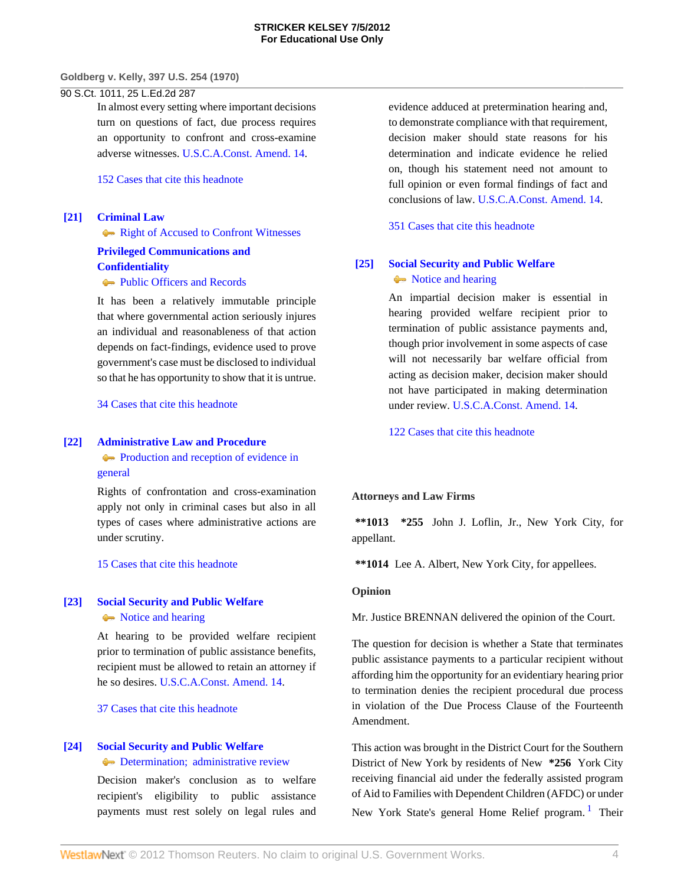### 90 S.Ct. 1011, 25 L.Ed.2d 287

In almost every setting where important decisions turn on questions of fact, due process requires an opportunity to confront and cross-examine adverse witnesses. [U.S.C.A.Const. Amend. 14.](http://www.westlaw.com/Link/Document/FullText?findType=L&pubNum=1000546&cite=USCOAMENDXIV&originatingDoc=I2361955a9c1e11d9bdd1cfdd544ca3a4&refType=LQ&originationContext=document&vr=3.0&rs=cblt1.0&transitionType=DocumentItem&contextData=(sc.UserEnteredCitation))

[152 Cases that cite this headnote](http://www.westlaw.com/Link/RelatedInformation/DocHeadnoteLink?docGuid=I2361955a9c1e11d9bdd1cfdd544ca3a4&headnoteId=197013419850620120627220957&originationContext=document&vr=3.0&rs=cblt1.0&transitionType=CitingReferences&contextData=(sc.UserEnteredCitation))

# <span id="page-3-0"></span>**[\[21\]](#page-7-8) [Criminal Law](http://www.westlaw.com/Browse/Home/KeyNumber/110/View.html?docGuid=I2361955a9c1e11d9bdd1cfdd544ca3a4&originationContext=document&vr=3.0&rs=cblt1.0&transitionType=DocumentItem&contextData=(sc.UserEnteredCitation))**

**[Right of Accused to Confront Witnesses](http://www.westlaw.com/Browse/Home/KeyNumber/110k662/View.html?docGuid=I2361955a9c1e11d9bdd1cfdd544ca3a4&originationContext=document&vr=3.0&rs=cblt1.0&transitionType=DocumentItem&contextData=(sc.UserEnteredCitation))** 

# **[Privileged Communications and](http://www.westlaw.com/Browse/Home/KeyNumber/311H/View.html?docGuid=I2361955a9c1e11d9bdd1cfdd544ca3a4&originationContext=document&vr=3.0&rs=cblt1.0&transitionType=DocumentItem&contextData=(sc.UserEnteredCitation)) [Confidentiality](http://www.westlaw.com/Browse/Home/KeyNumber/311H/View.html?docGuid=I2361955a9c1e11d9bdd1cfdd544ca3a4&originationContext=document&vr=3.0&rs=cblt1.0&transitionType=DocumentItem&contextData=(sc.UserEnteredCitation))**

**[Public Officers and Records](http://www.westlaw.com/Browse/Home/KeyNumber/311HVI/View.html?docGuid=I2361955a9c1e11d9bdd1cfdd544ca3a4&originationContext=document&vr=3.0&rs=cblt1.0&transitionType=DocumentItem&contextData=(sc.UserEnteredCitation))** 

It has been a relatively immutable principle that where governmental action seriously injures an individual and reasonableness of that action depends on fact-findings, evidence used to prove government's case must be disclosed to individual so that he has opportunity to show that it is untrue.

[34 Cases that cite this headnote](http://www.westlaw.com/Link/RelatedInformation/DocHeadnoteLink?docGuid=I2361955a9c1e11d9bdd1cfdd544ca3a4&headnoteId=197013419851620120627220957&originationContext=document&vr=3.0&rs=cblt1.0&transitionType=CitingReferences&contextData=(sc.UserEnteredCitation))

#### <span id="page-3-1"></span>**[\[22\]](#page-7-9) [Administrative Law and Procedure](http://www.westlaw.com/Browse/Home/KeyNumber/15A/View.html?docGuid=I2361955a9c1e11d9bdd1cfdd544ca3a4&originationContext=document&vr=3.0&rs=cblt1.0&transitionType=DocumentItem&contextData=(sc.UserEnteredCitation))**

**[Production and reception of evidence in](http://www.westlaw.com/Browse/Home/KeyNumber/15Ak476/View.html?docGuid=I2361955a9c1e11d9bdd1cfdd544ca3a4&originationContext=document&vr=3.0&rs=cblt1.0&transitionType=DocumentItem&contextData=(sc.UserEnteredCitation))** [general](http://www.westlaw.com/Browse/Home/KeyNumber/15Ak476/View.html?docGuid=I2361955a9c1e11d9bdd1cfdd544ca3a4&originationContext=document&vr=3.0&rs=cblt1.0&transitionType=DocumentItem&contextData=(sc.UserEnteredCitation))

Rights of confrontation and cross-examination apply not only in criminal cases but also in all types of cases where administrative actions are under scrutiny.

[15 Cases that cite this headnote](http://www.westlaw.com/Link/RelatedInformation/DocHeadnoteLink?docGuid=I2361955a9c1e11d9bdd1cfdd544ca3a4&headnoteId=197013419850120120627220957&originationContext=document&vr=3.0&rs=cblt1.0&transitionType=CitingReferences&contextData=(sc.UserEnteredCitation))

# <span id="page-3-2"></span>**[\[23\]](#page-7-10) [Social Security and Public Welfare](http://www.westlaw.com/Browse/Home/KeyNumber/356A/View.html?docGuid=I2361955a9c1e11d9bdd1cfdd544ca3a4&originationContext=document&vr=3.0&rs=cblt1.0&transitionType=DocumentItem&contextData=(sc.UserEnteredCitation))** • [Notice and hearing](http://www.westlaw.com/Browse/Home/KeyNumber/356Ak8.5/View.html?docGuid=I2361955a9c1e11d9bdd1cfdd544ca3a4&originationContext=document&vr=3.0&rs=cblt1.0&transitionType=DocumentItem&contextData=(sc.UserEnteredCitation))

At hearing to be provided welfare recipient prior to termination of public assistance benefits, recipient must be allowed to retain an attorney if he so desires. [U.S.C.A.Const. Amend. 14.](http://www.westlaw.com/Link/Document/FullText?findType=L&pubNum=1000546&cite=USCOAMENDXIV&originatingDoc=I2361955a9c1e11d9bdd1cfdd544ca3a4&refType=LQ&originationContext=document&vr=3.0&rs=cblt1.0&transitionType=DocumentItem&contextData=(sc.UserEnteredCitation))

### [37 Cases that cite this headnote](http://www.westlaw.com/Link/RelatedInformation/DocHeadnoteLink?docGuid=I2361955a9c1e11d9bdd1cfdd544ca3a4&headnoteId=197013419852120120627220957&originationContext=document&vr=3.0&rs=cblt1.0&transitionType=CitingReferences&contextData=(sc.UserEnteredCitation))

# <span id="page-3-3"></span>**[\[24\]](#page-8-0) [Social Security and Public Welfare](http://www.westlaw.com/Browse/Home/KeyNumber/356A/View.html?docGuid=I2361955a9c1e11d9bdd1cfdd544ca3a4&originationContext=document&vr=3.0&rs=cblt1.0&transitionType=DocumentItem&contextData=(sc.UserEnteredCitation))**

# **Determination**; administrative review

Decision maker's conclusion as to welfare recipient's eligibility to public assistance payments must rest solely on legal rules and

evidence adduced at pretermination hearing and, to demonstrate compliance with that requirement, decision maker should state reasons for his determination and indicate evidence he relied on, though his statement need not amount to full opinion or even formal findings of fact and conclusions of law. [U.S.C.A.Const. Amend. 14](http://www.westlaw.com/Link/Document/FullText?findType=L&pubNum=1000546&cite=USCOAMENDXIV&originatingDoc=I2361955a9c1e11d9bdd1cfdd544ca3a4&refType=LQ&originationContext=document&vr=3.0&rs=cblt1.0&transitionType=DocumentItem&contextData=(sc.UserEnteredCitation)).

[351 Cases that cite this headnote](http://www.westlaw.com/Link/RelatedInformation/DocHeadnoteLink?docGuid=I2361955a9c1e11d9bdd1cfdd544ca3a4&headnoteId=197013419852220120627220957&originationContext=document&vr=3.0&rs=cblt1.0&transitionType=CitingReferences&contextData=(sc.UserEnteredCitation))

# <span id="page-3-4"></span>**[\[25\]](#page-8-1) [Social Security and Public Welfare](http://www.westlaw.com/Browse/Home/KeyNumber/356A/View.html?docGuid=I2361955a9c1e11d9bdd1cfdd544ca3a4&originationContext=document&vr=3.0&rs=cblt1.0&transitionType=DocumentItem&contextData=(sc.UserEnteredCitation))**

### • [Notice and hearing](http://www.westlaw.com/Browse/Home/KeyNumber/356Ak8.5/View.html?docGuid=I2361955a9c1e11d9bdd1cfdd544ca3a4&originationContext=document&vr=3.0&rs=cblt1.0&transitionType=DocumentItem&contextData=(sc.UserEnteredCitation))

An impartial decision maker is essential in hearing provided welfare recipient prior to termination of public assistance payments and, though prior involvement in some aspects of case will not necessarily bar welfare official from acting as decision maker, decision maker should not have participated in making determination under review. [U.S.C.A.Const. Amend. 14.](http://www.westlaw.com/Link/Document/FullText?findType=L&pubNum=1000546&cite=USCOAMENDXIV&originatingDoc=I2361955a9c1e11d9bdd1cfdd544ca3a4&refType=LQ&originationContext=document&vr=3.0&rs=cblt1.0&transitionType=DocumentItem&contextData=(sc.UserEnteredCitation))

[122 Cases that cite this headnote](http://www.westlaw.com/Link/RelatedInformation/DocHeadnoteLink?docGuid=I2361955a9c1e11d9bdd1cfdd544ca3a4&headnoteId=197013419852320120627220957&originationContext=document&vr=3.0&rs=cblt1.0&transitionType=CitingReferences&contextData=(sc.UserEnteredCitation))

### **Attorneys and Law Firms**

**\*\*1013 \*255** John J. Loflin, Jr., New York City, for appellant.

**\*\*1014** Lee A. Albert, New York City, for appellees.

### **Opinion**

Mr. Justice BRENNAN delivered the opinion of the Court.

The question for decision is whether a State that terminates public assistance payments to a particular recipient without affording him the opportunity for an evidentiary hearing prior to termination denies the recipient procedural due process in violation of the Due Process Clause of the Fourteenth Amendment.

<span id="page-3-5"></span>This action was brought in the District Court for the Southern District of New York by residents of New **\*256** York City receiving financial aid under the federally assisted program of Aid to Families with Dependent Children (AFDC) or under New York State's general Home Relief program.<sup>[1](#page-10-0)</sup> Their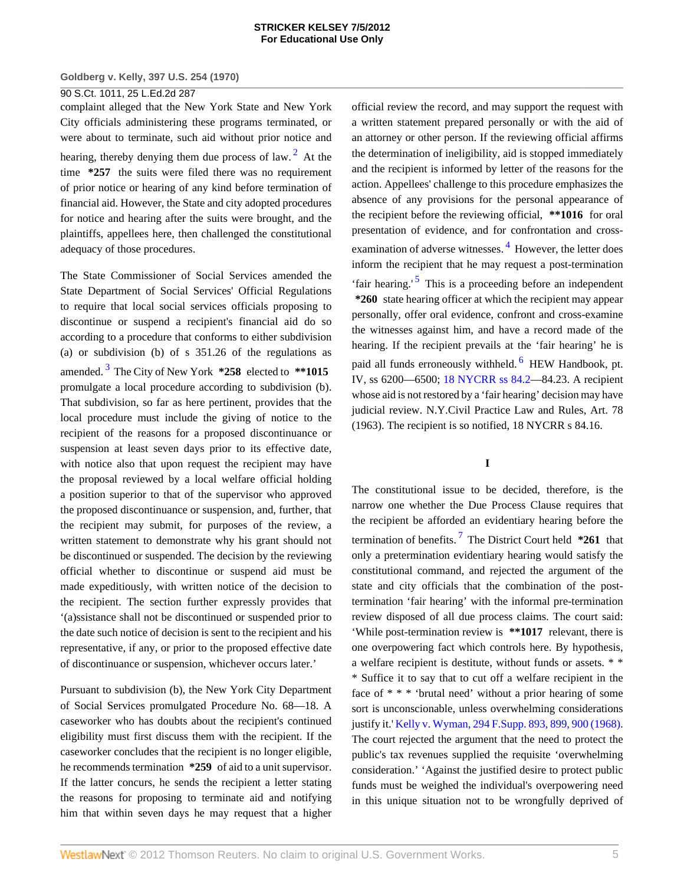#### **Goldberg v. Kelly, 397 U.S. 254 (1970)**

90 S.Ct. 1011, 25 L.Ed.2d 287

complaint alleged that the New York State and New York City officials administering these programs terminated, or were about to terminate, such aid without prior notice and hearing, thereby denying them due process of law.<sup>[2](#page-11-0)</sup> At the time **\*257** the suits were filed there was no requirement of prior notice or hearing of any kind before termination of financial aid. However, the State and city adopted procedures for notice and hearing after the suits were brought, and the plaintiffs, appellees here, then challenged the constitutional adequacy of those procedures.

<span id="page-4-1"></span>The State Commissioner of Social Services amended the State Department of Social Services' Official Regulations to require that local social services officials proposing to discontinue or suspend a recipient's financial aid do so according to a procedure that conforms to either subdivision (a) or subdivision (b) of s 351.26 of the regulations as amended. [3](#page-11-1) The City of New York **\*258** elected to **\*\*1015** promulgate a local procedure according to subdivision (b). That subdivision, so far as here pertinent, provides that the local procedure must include the giving of notice to the recipient of the reasons for a proposed discontinuance or suspension at least seven days prior to its effective date, with notice also that upon request the recipient may have the proposal reviewed by a local welfare official holding a position superior to that of the supervisor who approved the proposed discontinuance or suspension, and, further, that the recipient may submit, for purposes of the review, a written statement to demonstrate why his grant should not be discontinued or suspended. The decision by the reviewing official whether to discontinue or suspend aid must be made expeditiously, with written notice of the decision to the recipient. The section further expressly provides that '(a)ssistance shall not be discontinued or suspended prior to the date such notice of decision is sent to the recipient and his representative, if any, or prior to the proposed effective date of discontinuance or suspension, whichever occurs later.'

Pursuant to subdivision (b), the New York City Department of Social Services promulgated Procedure No. 68—18. A caseworker who has doubts about the recipient's continued eligibility must first discuss them with the recipient. If the caseworker concludes that the recipient is no longer eligible, he recommends termination **\*259** of aid to a unit supervisor. If the latter concurs, he sends the recipient a letter stating the reasons for proposing to terminate aid and notifying him that within seven days he may request that a higher

<span id="page-4-2"></span><span id="page-4-0"></span>official review the record, and may support the request with a written statement prepared personally or with the aid of an attorney or other person. If the reviewing official affirms the determination of ineligibility, aid is stopped immediately and the recipient is informed by letter of the reasons for the action. Appellees' challenge to this procedure emphasizes the absence of any provisions for the personal appearance of the recipient before the reviewing official, **\*\*1016** for oral presentation of evidence, and for confrontation and cross-examination of adverse witnesses.<sup>[4](#page-11-2)</sup> However, the letter does inform the recipient that he may request a post-termination 'fair hearing.' $5$  This is a proceeding before an independent **\*260** state hearing officer at which the recipient may appear personally, offer oral evidence, confront and cross-examine the witnesses against him, and have a record made of the hearing. If the recipient prevails at the 'fair hearing' he is paid all funds erroneously withheld. <sup>[6](#page-11-4)</sup> HEW Handbook, pt.

<span id="page-4-3"></span>IV, ss 6200—6500; [18 NYCRR ss 84.2](http://www.westlaw.com/Link/Document/FullText?findType=L&pubNum=1013028&cite=18NYADC84.2&originatingDoc=I2361955a9c1e11d9bdd1cfdd544ca3a4&refType=LQ&originationContext=document&vr=3.0&rs=cblt1.0&transitionType=DocumentItem&contextData=(sc.UserEnteredCitation))—84.23. A recipient whose aid is not restored by a 'fair hearing' decision may have judicial review. N.Y.Civil Practice Law and Rules, Art. 78 (1963). The recipient is so notified, 18 NYCRR s 84.16.

### <span id="page-4-5"></span><span id="page-4-4"></span>**I**

The constitutional issue to be decided, therefore, is the narrow one whether the Due Process Clause requires that the recipient be afforded an evidentiary hearing before the termination of benefits. [7](#page-12-0) The District Court held **\*261** that only a pretermination evidentiary hearing would satisfy the constitutional command, and rejected the argument of the state and city officials that the combination of the posttermination 'fair hearing' with the informal pre-termination review disposed of all due process claims. The court said: 'While post-termination review is **\*\*1017** relevant, there is one overpowering fact which controls here. By hypothesis, a welfare recipient is destitute, without funds or assets. \* \* \* Suffice it to say that to cut off a welfare recipient in the face of \* \* \* 'brutal need' without a prior hearing of some sort is unconscionable, unless overwhelming considerations justify it.' [Kelly v. Wyman, 294 F.Supp. 893, 899, 900 \(1968\).](http://www.westlaw.com/Link/Document/FullText?findType=Y&serNum=1968115544&pubNum=345&originationContext=document&vr=3.0&rs=cblt1.0&transitionType=DocumentItem&contextData=(sc.UserEnteredCitation)#co_pp_sp_345_899) The court rejected the argument that the need to protect the public's tax revenues supplied the requisite 'overwhelming consideration.' 'Against the justified desire to protect public funds must be weighed the individual's overpowering need in this unique situation not to be wrongfully deprived of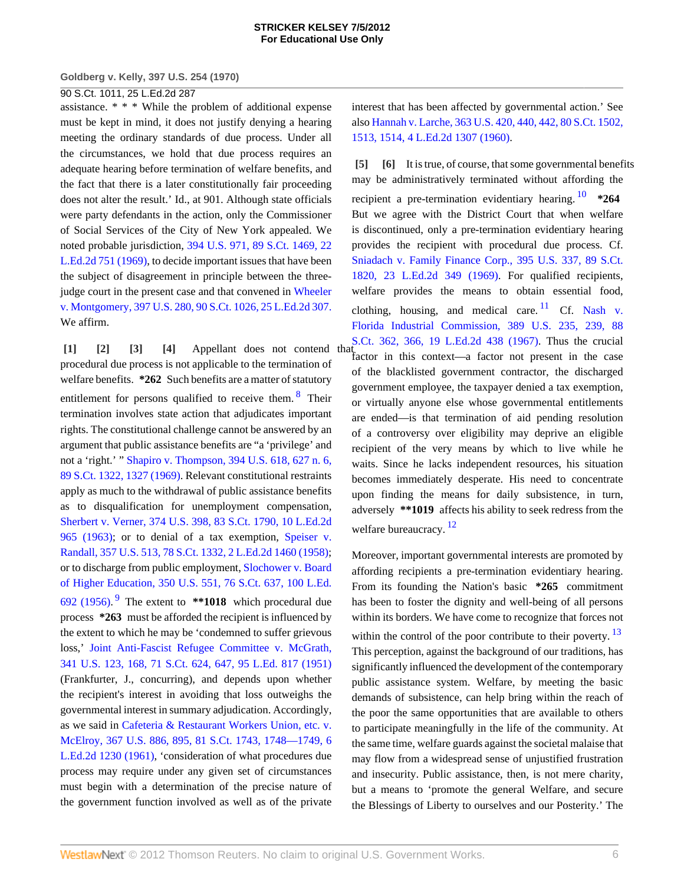### 90 S.Ct. 1011, 25 L.Ed.2d 287

assistance. \* \* \* While the problem of additional expense must be kept in mind, it does not justify denying a hearing meeting the ordinary standards of due process. Under all the circumstances, we hold that due process requires an adequate hearing before termination of welfare benefits, and the fact that there is a later constitutionally fair proceeding does not alter the result.' Id., at 901. Although state officials were party defendants in the action, only the Commissioner of Social Services of the City of New York appealed. We noted probable jurisdiction, [394 U.S. 971, 89 S.Ct. 1469, 22](http://www.westlaw.com/Link/Document/FullText?findType=Y&serNum=1969202559&pubNum=708&originationContext=document&vr=3.0&rs=cblt1.0&transitionType=DocumentItem&contextData=(sc.UserEnteredCitation)) [L.Ed.2d 751 \(1969\),](http://www.westlaw.com/Link/Document/FullText?findType=Y&serNum=1969202559&pubNum=708&originationContext=document&vr=3.0&rs=cblt1.0&transitionType=DocumentItem&contextData=(sc.UserEnteredCitation)) to decide important issues that have been the subject of disagreement in principle between the threejudge court in the present case and that convened in [Wheeler](http://www.westlaw.com/Link/Document/FullText?findType=Y&serNum=1970241805&pubNum=780&originationContext=document&vr=3.0&rs=cblt1.0&transitionType=DocumentItem&contextData=(sc.UserEnteredCitation)) [v. Montgomery, 397 U.S. 280,](http://www.westlaw.com/Link/Document/FullText?findType=Y&serNum=1970241805&pubNum=780&originationContext=document&vr=3.0&rs=cblt1.0&transitionType=DocumentItem&contextData=(sc.UserEnteredCitation)) [90 S.Ct. 1026, 25 L.Ed.2d 307.](http://www.westlaw.com/Link/Document/FullText?findType=Y&serNum=1970134199&pubNum=708&originationContext=document&vr=3.0&rs=cblt1.0&transitionType=DocumentItem&contextData=(sc.UserEnteredCitation)) We affirm.

<span id="page-5-3"></span><span id="page-5-2"></span><span id="page-5-1"></span><span id="page-5-0"></span>procedural due process is not applicable to the termination of welfare benefits. **\*262** Such benefits are a matter of statutory entitlement for persons qualified to receive them. <sup>[8](#page-12-1)</sup> Their termination involves state action that adjudicates important rights. The constitutional challenge cannot be answered by an argument that public assistance benefits are "a 'privilege' and not a 'right.' " [Shapiro v. Thompson, 394 U.S. 618, 627 n. 6,](http://www.westlaw.com/Link/Document/FullText?findType=Y&serNum=1969132967&pubNum=708&originationContext=document&vr=3.0&rs=cblt1.0&transitionType=DocumentItem&contextData=(sc.UserEnteredCitation)#co_pp_sp_708_1327) [89 S.Ct. 1322, 1327 \(1969\).](http://www.westlaw.com/Link/Document/FullText?findType=Y&serNum=1969132967&pubNum=708&originationContext=document&vr=3.0&rs=cblt1.0&transitionType=DocumentItem&contextData=(sc.UserEnteredCitation)#co_pp_sp_708_1327) Relevant constitutional restraints apply as much to the withdrawal of public assistance benefits as to disqualification for unemployment compensation, [Sherbert v. Verner, 374 U.S. 398, 83 S.Ct. 1790, 10 L.Ed.2d](http://www.westlaw.com/Link/Document/FullText?findType=Y&serNum=1963125396&pubNum=708&originationContext=document&vr=3.0&rs=cblt1.0&transitionType=DocumentItem&contextData=(sc.UserEnteredCitation)) [965 \(1963\);](http://www.westlaw.com/Link/Document/FullText?findType=Y&serNum=1963125396&pubNum=708&originationContext=document&vr=3.0&rs=cblt1.0&transitionType=DocumentItem&contextData=(sc.UserEnteredCitation)) or to denial of a tax exemption, [Speiser v.](http://www.westlaw.com/Link/Document/FullText?findType=Y&serNum=1958121488&pubNum=708&originationContext=document&vr=3.0&rs=cblt1.0&transitionType=DocumentItem&contextData=(sc.UserEnteredCitation)) [Randall, 357 U.S. 513, 78 S.Ct. 1332, 2 L.Ed.2d 1460 \(1958\)](http://www.westlaw.com/Link/Document/FullText?findType=Y&serNum=1958121488&pubNum=708&originationContext=document&vr=3.0&rs=cblt1.0&transitionType=DocumentItem&contextData=(sc.UserEnteredCitation)); or to discharge from public employment, [Slochower v. Board](http://www.westlaw.com/Link/Document/FullText?findType=Y&serNum=1956111192&pubNum=708&originationContext=document&vr=3.0&rs=cblt1.0&transitionType=DocumentItem&contextData=(sc.UserEnteredCitation)) [of Higher Education, 350 U.S. 551, 76 S.Ct. 637, 100 L.Ed.](http://www.westlaw.com/Link/Document/FullText?findType=Y&serNum=1956111192&pubNum=708&originationContext=document&vr=3.0&rs=cblt1.0&transitionType=DocumentItem&contextData=(sc.UserEnteredCitation)) [692 \(1956\).](http://www.westlaw.com/Link/Document/FullText?findType=Y&serNum=1956111192&pubNum=708&originationContext=document&vr=3.0&rs=cblt1.0&transitionType=DocumentItem&contextData=(sc.UserEnteredCitation)) [9](#page-12-2) The extent to **\*\*1018** which procedural due process **\*263** must be afforded the recipient is influenced by the extent to which he may be 'condemned to suffer grievous loss,' [Joint Anti-Fascist Refugee Committee v. McGrath,](http://www.westlaw.com/Link/Document/FullText?findType=Y&serNum=1951117876&pubNum=708&originationContext=document&vr=3.0&rs=cblt1.0&transitionType=DocumentItem&contextData=(sc.UserEnteredCitation)#co_pp_sp_708_647) [341 U.S. 123, 168, 71 S.Ct. 624, 647, 95 L.Ed. 817 \(1951\)](http://www.westlaw.com/Link/Document/FullText?findType=Y&serNum=1951117876&pubNum=708&originationContext=document&vr=3.0&rs=cblt1.0&transitionType=DocumentItem&contextData=(sc.UserEnteredCitation)#co_pp_sp_708_647) (Frankfurter, J., concurring), and depends upon whether the recipient's interest in avoiding that loss outweighs the governmental interest in summary adjudication. Accordingly, as we said in [Cafeteria & Restaurant Workers Union, etc. v.](http://www.westlaw.com/Link/Document/FullText?findType=Y&serNum=1961125534&pubNum=708&originationContext=document&vr=3.0&rs=cblt1.0&transitionType=DocumentItem&contextData=(sc.UserEnteredCitation)#co_pp_sp_708_1748) [McElroy, 367 U.S. 886, 895, 81 S.Ct. 1743, 1748—1749, 6](http://www.westlaw.com/Link/Document/FullText?findType=Y&serNum=1961125534&pubNum=708&originationContext=document&vr=3.0&rs=cblt1.0&transitionType=DocumentItem&contextData=(sc.UserEnteredCitation)#co_pp_sp_708_1748) [L.Ed.2d 1230 \(1961\)](http://www.westlaw.com/Link/Document/FullText?findType=Y&serNum=1961125534&pubNum=708&originationContext=document&vr=3.0&rs=cblt1.0&transitionType=DocumentItem&contextData=(sc.UserEnteredCitation)#co_pp_sp_708_1748), 'consideration of what procedures due process may require under any given set of circumstances must begin with a determination of the precise nature of the government function involved as well as of the private <span id="page-5-9"></span><span id="page-5-8"></span><span id="page-5-5"></span><span id="page-5-4"></span>interest that has been affected by governmental action.' See also [Hannah v. Larche, 363 U.S. 420, 440, 442, 80 S.Ct. 1502,](http://www.westlaw.com/Link/Document/FullText?findType=Y&serNum=1960101758&pubNum=708&originationContext=document&vr=3.0&rs=cblt1.0&transitionType=DocumentItem&contextData=(sc.UserEnteredCitation)#co_pp_sp_708_1513) [1513, 1514, 4 L.Ed.2d 1307 \(1960\)](http://www.westlaw.com/Link/Document/FullText?findType=Y&serNum=1960101758&pubNum=708&originationContext=document&vr=3.0&rs=cblt1.0&transitionType=DocumentItem&contextData=(sc.UserEnteredCitation)#co_pp_sp_708_1513).

**[\[1\]](#page-0-0) [\[2\]](#page-0-1) [\[3\]](#page-0-2) [\[4\]](#page-0-3)** Appellant does not contend that factor in this context—a factor not present in the case **[\[5\]](#page-0-4) [\[6\]](#page-1-0)** It is true, of course, that some governmental benefits may be administratively terminated without affording the recipient a pre-termination evidentiary hearing. [10](#page-12-3) **\*264** But we agree with the District Court that when welfare is discontinued, only a pre-termination evidentiary hearing provides the recipient with procedural due process. Cf. [Sniadach v. Family Finance Corp., 395 U.S. 337, 89 S.Ct.](http://www.westlaw.com/Link/Document/FullText?findType=Y&serNum=1969133006&pubNum=708&originationContext=document&vr=3.0&rs=cblt1.0&transitionType=DocumentItem&contextData=(sc.UserEnteredCitation)) [1820, 23 L.Ed.2d 349 \(1969\)](http://www.westlaw.com/Link/Document/FullText?findType=Y&serNum=1969133006&pubNum=708&originationContext=document&vr=3.0&rs=cblt1.0&transitionType=DocumentItem&contextData=(sc.UserEnteredCitation)). For qualified recipients, welfare provides the means to obtain essential food, clothing, housing, and medical care.  $11$  Cf. [Nash v.](http://www.westlaw.com/Link/Document/FullText?findType=Y&serNum=1967129573&pubNum=708&originationContext=document&vr=3.0&rs=cblt1.0&transitionType=DocumentItem&contextData=(sc.UserEnteredCitation)#co_pp_sp_708_366) [Florida Industrial Commission, 389 U.S. 235, 239, 88](http://www.westlaw.com/Link/Document/FullText?findType=Y&serNum=1967129573&pubNum=708&originationContext=document&vr=3.0&rs=cblt1.0&transitionType=DocumentItem&contextData=(sc.UserEnteredCitation)#co_pp_sp_708_366) [S.Ct. 362, 366, 19 L.Ed.2d 438 \(1967\)](http://www.westlaw.com/Link/Document/FullText?findType=Y&serNum=1967129573&pubNum=708&originationContext=document&vr=3.0&rs=cblt1.0&transitionType=DocumentItem&contextData=(sc.UserEnteredCitation)#co_pp_sp_708_366). Thus the crucial of the blacklisted government contractor, the discharged government employee, the taxpayer denied a tax exemption, or virtually anyone else whose governmental entitlements are ended—is that termination of aid pending resolution of a controversy over eligibility may deprive an eligible recipient of the very means by which to live while he waits. Since he lacks independent resources, his situation becomes immediately desperate. His need to concentrate upon finding the means for daily subsistence, in turn, adversely **\*\*1019** affects his ability to seek redress from the welfare bureaucracy.<sup>[12](#page-12-5)</sup>

> <span id="page-5-11"></span><span id="page-5-10"></span><span id="page-5-7"></span><span id="page-5-6"></span>Moreover, important governmental interests are promoted by affording recipients a pre-termination evidentiary hearing. From its founding the Nation's basic **\*265** commitment has been to foster the dignity and well-being of all persons within its borders. We have come to recognize that forces not within the control of the poor contribute to their poverty.  $^{13}$  $^{13}$  $^{13}$ This perception, against the background of our traditions, has significantly influenced the development of the contemporary public assistance system. Welfare, by meeting the basic demands of subsistence, can help bring within the reach of the poor the same opportunities that are available to others to participate meaningfully in the life of the community. At the same time, welfare guards against the societal malaise that may flow from a widespread sense of unjustified frustration and insecurity. Public assistance, then, is not mere charity, but a means to 'promote the general Welfare, and secure the Blessings of Liberty to ourselves and our Posterity.' The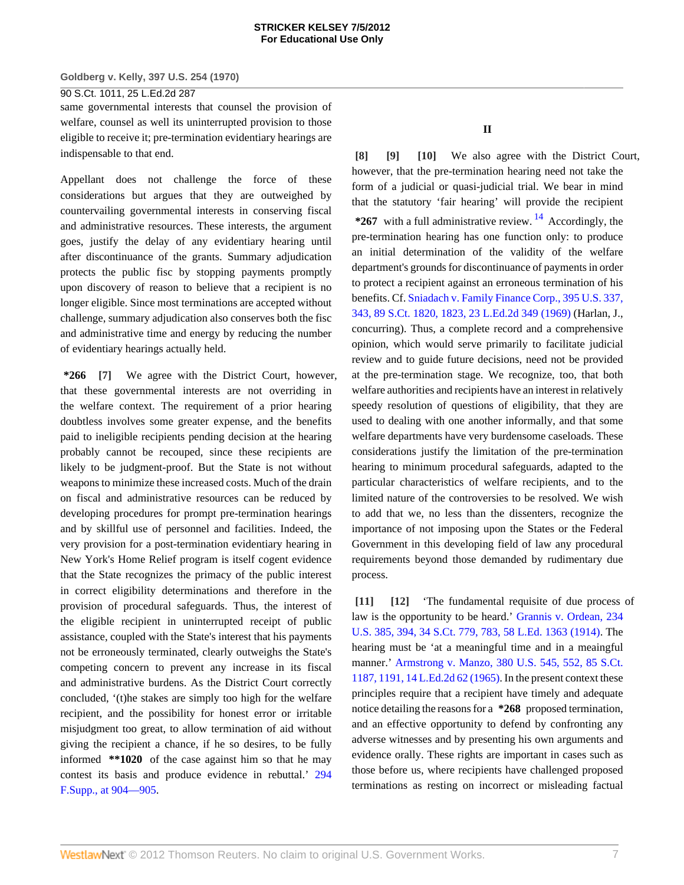### 90 S.Ct. 1011, 25 L.Ed.2d 287

same governmental interests that counsel the provision of welfare, counsel as well its uninterrupted provision to those eligible to receive it; pre-termination evidentiary hearings are indispensable to that end.

Appellant does not challenge the force of these considerations but argues that they are outweighed by countervailing governmental interests in conserving fiscal and administrative resources. These interests, the argument goes, justify the delay of any evidentiary hearing until after discontinuance of the grants. Summary adjudication protects the public fisc by stopping payments promptly upon discovery of reason to believe that a recipient is no longer eligible. Since most terminations are accepted without challenge, summary adjudication also conserves both the fisc and administrative time and energy by reducing the number of evidentiary hearings actually held.

<span id="page-6-0"></span>**\*266 [\[7\]](#page-1-1)** We agree with the District Court, however, that these governmental interests are not overriding in the welfare context. The requirement of a prior hearing doubtless involves some greater expense, and the benefits paid to ineligible recipients pending decision at the hearing probably cannot be recouped, since these recipients are likely to be judgment-proof. But the State is not without weapons to minimize these increased costs. Much of the drain on fiscal and administrative resources can be reduced by developing procedures for prompt pre-termination hearings and by skillful use of personnel and facilities. Indeed, the very provision for a post-termination evidentiary hearing in New York's Home Relief program is itself cogent evidence that the State recognizes the primacy of the public interest in correct eligibility determinations and therefore in the provision of procedural safeguards. Thus, the interest of the eligible recipient in uninterrupted receipt of public assistance, coupled with the State's interest that his payments not be erroneously terminated, clearly outweighs the State's competing concern to prevent any increase in its fiscal and administrative burdens. As the District Court correctly concluded, '(t)he stakes are simply too high for the welfare recipient, and the possibility for honest error or irritable misjudgment too great, to allow termination of aid without giving the recipient a chance, if he so desires, to be fully informed **\*\*1020** of the case against him so that he may contest its basis and produce evidence in rebuttal.' [294](http://www.westlaw.com/Link/Document/FullText?findType=Y&serNum=1968115544&pubNum=345&originationContext=document&vr=3.0&rs=cblt1.0&transitionType=DocumentItem&contextData=(sc.UserEnteredCitation)#co_pp_sp_345_904) [F.Supp., at 904—905.](http://www.westlaw.com/Link/Document/FullText?findType=Y&serNum=1968115544&pubNum=345&originationContext=document&vr=3.0&rs=cblt1.0&transitionType=DocumentItem&contextData=(sc.UserEnteredCitation)#co_pp_sp_345_904)

# <span id="page-6-6"></span><span id="page-6-3"></span>**II**

<span id="page-6-2"></span><span id="page-6-1"></span>**[\[8\]](#page-1-2) [\[9\]](#page-1-3) [\[10\]](#page-1-4)** We also agree with the District Court, however, that the pre-termination hearing need not take the form of a judicial or quasi-judicial trial. We bear in mind that the statutory 'fair hearing' will provide the recipient **\*267** with a full administrative review. [14](#page-12-7) Accordingly, the pre-termination hearing has one function only: to produce an initial determination of the validity of the welfare department's grounds for discontinuance of payments in order to protect a recipient against an erroneous termination of his benefits. Cf. [Sniadach v. Family Finance Corp., 395 U.S. 337,](http://www.westlaw.com/Link/Document/FullText?findType=Y&serNum=1969133006&pubNum=708&originationContext=document&vr=3.0&rs=cblt1.0&transitionType=DocumentItem&contextData=(sc.UserEnteredCitation)#co_pp_sp_708_1823) [343, 89 S.Ct. 1820, 1823, 23 L.Ed.2d 349 \(1969\)](http://www.westlaw.com/Link/Document/FullText?findType=Y&serNum=1969133006&pubNum=708&originationContext=document&vr=3.0&rs=cblt1.0&transitionType=DocumentItem&contextData=(sc.UserEnteredCitation)#co_pp_sp_708_1823) (Harlan, J., concurring). Thus, a complete record and a comprehensive opinion, which would serve primarily to facilitate judicial review and to guide future decisions, need not be provided at the pre-termination stage. We recognize, too, that both welfare authorities and recipients have an interest in relatively speedy resolution of questions of eligibility, that they are used to dealing with one another informally, and that some welfare departments have very burdensome caseloads. These considerations justify the limitation of the pre-termination hearing to minimum procedural safeguards, adapted to the particular characteristics of welfare recipients, and to the limited nature of the controversies to be resolved. We wish to add that we, no less than the dissenters, recognize the importance of not imposing upon the States or the Federal Government in this developing field of law any procedural requirements beyond those demanded by rudimentary due process.

<span id="page-6-5"></span><span id="page-6-4"></span>**[\[11\]](#page-1-5) [\[12](#page-1-6)]** 'The fundamental requisite of due process of law is the opportunity to be heard.' [Grannis v. Ordean, 234](http://www.westlaw.com/Link/Document/FullText?findType=Y&serNum=1914100411&pubNum=708&originationContext=document&vr=3.0&rs=cblt1.0&transitionType=DocumentItem&contextData=(sc.UserEnteredCitation)#co_pp_sp_708_783) [U.S. 385, 394, 34 S.Ct. 779, 783, 58 L.Ed. 1363 \(1914\)](http://www.westlaw.com/Link/Document/FullText?findType=Y&serNum=1914100411&pubNum=708&originationContext=document&vr=3.0&rs=cblt1.0&transitionType=DocumentItem&contextData=(sc.UserEnteredCitation)#co_pp_sp_708_783). The hearing must be 'at a meaningful time and in a meaingful manner.' [Armstrong v. Manzo, 380 U.S. 545, 552, 85 S.Ct.](http://www.westlaw.com/Link/Document/FullText?findType=Y&serNum=1965100212&pubNum=708&originationContext=document&vr=3.0&rs=cblt1.0&transitionType=DocumentItem&contextData=(sc.UserEnteredCitation)#co_pp_sp_708_1191) [1187, 1191, 14 L.Ed.2d 62 \(1965\)](http://www.westlaw.com/Link/Document/FullText?findType=Y&serNum=1965100212&pubNum=708&originationContext=document&vr=3.0&rs=cblt1.0&transitionType=DocumentItem&contextData=(sc.UserEnteredCitation)#co_pp_sp_708_1191). In the present context these principles require that a recipient have timely and adequate notice detailing the reasons for a **\*268** proposed termination, and an effective opportunity to defend by confronting any adverse witnesses and by presenting his own arguments and evidence orally. These rights are important in cases such as those before us, where recipients have challenged proposed terminations as resting on incorrect or misleading factual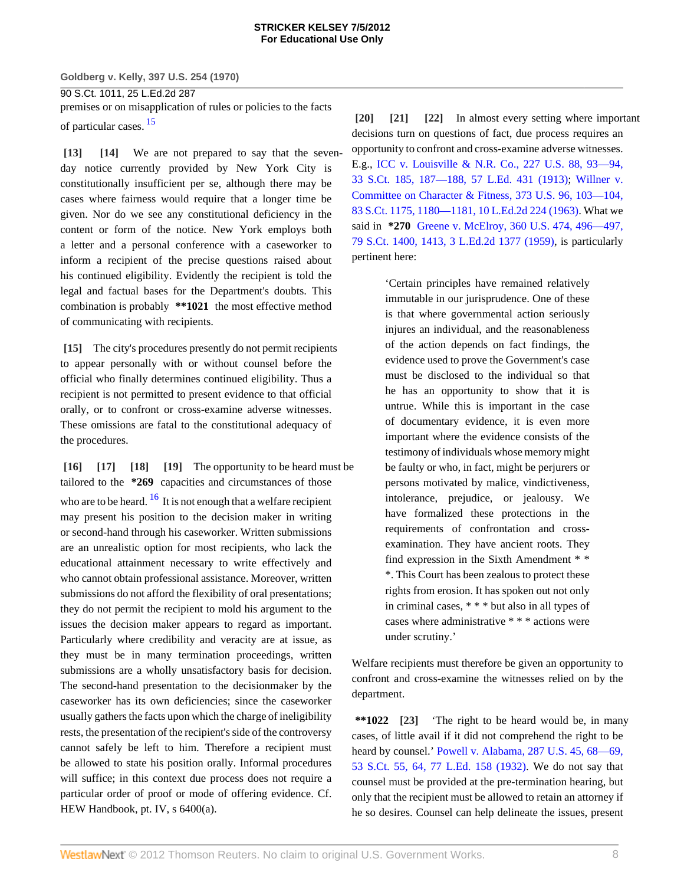<span id="page-7-11"></span>90 S.Ct. 1011, 25 L.Ed.2d 287 premises or on misapplication of rules or policies to the facts of particular cases. [15](#page-12-8)

<span id="page-7-1"></span><span id="page-7-0"></span>**[\[13\]](#page-1-7) [\[14\]](#page-2-0)** We are not prepared to say that the sevenday notice currently provided by New York City is constitutionally insufficient per se, although there may be cases where fairness would require that a longer time be given. Nor do we see any constitutional deficiency in the content or form of the notice. New York employs both a letter and a personal conference with a caseworker to inform a recipient of the precise questions raised about his continued eligibility. Evidently the recipient is told the legal and factual bases for the Department's doubts. This combination is probably **\*\*1021** the most effective method of communicating with recipients.

<span id="page-7-2"></span>**[\[15\]](#page-2-1)** The city's procedures presently do not permit recipients to appear personally with or without counsel before the official who finally determines continued eligibility. Thus a recipient is not permitted to present evidence to that official orally, or to confront or cross-examine adverse witnesses. These omissions are fatal to the constitutional adequacy of the procedures.

<span id="page-7-12"></span><span id="page-7-6"></span><span id="page-7-5"></span><span id="page-7-4"></span><span id="page-7-3"></span>**[\[16\]](#page-2-2) [\[17\]](#page-2-3) [\[18](#page-2-4)] [\[19\]](#page-2-5)** The opportunity to be heard must be tailored to the **\*269** capacities and circumstances of those who are to be heard.  $\frac{16}{16}$  $\frac{16}{16}$  $\frac{16}{16}$  It is not enough that a welfare recipient may present his position to the decision maker in writing or second-hand through his caseworker. Written submissions are an unrealistic option for most recipients, who lack the educational attainment necessary to write effectively and who cannot obtain professional assistance. Moreover, written submissions do not afford the flexibility of oral presentations; they do not permit the recipient to mold his argument to the issues the decision maker appears to regard as important. Particularly where credibility and veracity are at issue, as they must be in many termination proceedings, written submissions are a wholly unsatisfactory basis for decision. The second-hand presentation to the decisionmaker by the caseworker has its own deficiencies; since the caseworker usually gathers the facts upon which the charge of ineligibility rests, the presentation of the recipient's side of the controversy cannot safely be left to him. Therefore a recipient must be allowed to state his position orally. Informal procedures will suffice; in this context due process does not require a particular order of proof or mode of offering evidence. Cf. HEW Handbook, pt. IV, s 6400(a).

<span id="page-7-9"></span><span id="page-7-8"></span><span id="page-7-7"></span>**[\[20\]](#page-2-6) [\[21\]](#page-3-0) [\[22\]](#page-3-1)** In almost every setting where important decisions turn on questions of fact, due process requires an opportunity to confront and cross-examine adverse witnesses. E.g., [ICC v. Louisville & N.R. Co., 227 U.S. 88, 93—94,](http://www.westlaw.com/Link/Document/FullText?findType=Y&serNum=1913100600&pubNum=708&originationContext=document&vr=3.0&rs=cblt1.0&transitionType=DocumentItem&contextData=(sc.UserEnteredCitation)#co_pp_sp_708_187) [33 S.Ct. 185, 187—188, 57 L.Ed. 431 \(1913\);](http://www.westlaw.com/Link/Document/FullText?findType=Y&serNum=1913100600&pubNum=708&originationContext=document&vr=3.0&rs=cblt1.0&transitionType=DocumentItem&contextData=(sc.UserEnteredCitation)#co_pp_sp_708_187) [Willner v.](http://www.westlaw.com/Link/Document/FullText?findType=Y&serNum=1963106444&pubNum=708&originationContext=document&vr=3.0&rs=cblt1.0&transitionType=DocumentItem&contextData=(sc.UserEnteredCitation)#co_pp_sp_708_1180) [Committee on Character & Fitness, 373 U.S. 96, 103—104,](http://www.westlaw.com/Link/Document/FullText?findType=Y&serNum=1963106444&pubNum=708&originationContext=document&vr=3.0&rs=cblt1.0&transitionType=DocumentItem&contextData=(sc.UserEnteredCitation)#co_pp_sp_708_1180) [83 S.Ct. 1175, 1180—1181, 10 L.Ed.2d 224 \(1963\)](http://www.westlaw.com/Link/Document/FullText?findType=Y&serNum=1963106444&pubNum=708&originationContext=document&vr=3.0&rs=cblt1.0&transitionType=DocumentItem&contextData=(sc.UserEnteredCitation)#co_pp_sp_708_1180). What we said in **\*270** [Greene v. McElroy, 360 U.S. 474, 496—497,](http://www.westlaw.com/Link/Document/FullText?findType=Y&serNum=1959123798&pubNum=708&originationContext=document&vr=3.0&rs=cblt1.0&transitionType=DocumentItem&contextData=(sc.UserEnteredCitation)#co_pp_sp_708_1413) [79 S.Ct. 1400, 1413, 3 L.Ed.2d 1377 \(1959\)](http://www.westlaw.com/Link/Document/FullText?findType=Y&serNum=1959123798&pubNum=708&originationContext=document&vr=3.0&rs=cblt1.0&transitionType=DocumentItem&contextData=(sc.UserEnteredCitation)#co_pp_sp_708_1413), is particularly pertinent here:

> 'Certain principles have remained relatively immutable in our jurisprudence. One of these is that where governmental action seriously injures an individual, and the reasonableness of the action depends on fact findings, the evidence used to prove the Government's case must be disclosed to the individual so that he has an opportunity to show that it is untrue. While this is important in the case of documentary evidence, it is even more important where the evidence consists of the testimony of individuals whose memory might be faulty or who, in fact, might be perjurers or persons motivated by malice, vindictiveness, intolerance, prejudice, or jealousy. We have formalized these protections in the requirements of confrontation and crossexamination. They have ancient roots. They find expression in the Sixth Amendment \* \* \*. This Court has been zealous to protect these rights from erosion. It has spoken out not only in criminal cases, \* \* \* but also in all types of cases where administrative \* \* \* actions were under scrutiny.'

Welfare recipients must therefore be given an opportunity to confront and cross-examine the witnesses relied on by the department.

<span id="page-7-10"></span>**\*\*1022 [\[23\]](#page-3-2)** 'The right to be heard would be, in many cases, of little avail if it did not comprehend the right to be heard by counsel.' Powell v. Alabama, 287 U.S. 45, 68–69, [53 S.Ct. 55, 64, 77 L.Ed. 158 \(1932\)](http://www.westlaw.com/Link/Document/FullText?findType=Y&serNum=1932123464&pubNum=708&originationContext=document&vr=3.0&rs=cblt1.0&transitionType=DocumentItem&contextData=(sc.UserEnteredCitation)#co_pp_sp_708_64). We do not say that counsel must be provided at the pre-termination hearing, but only that the recipient must be allowed to retain an attorney if he so desires. Counsel can help delineate the issues, present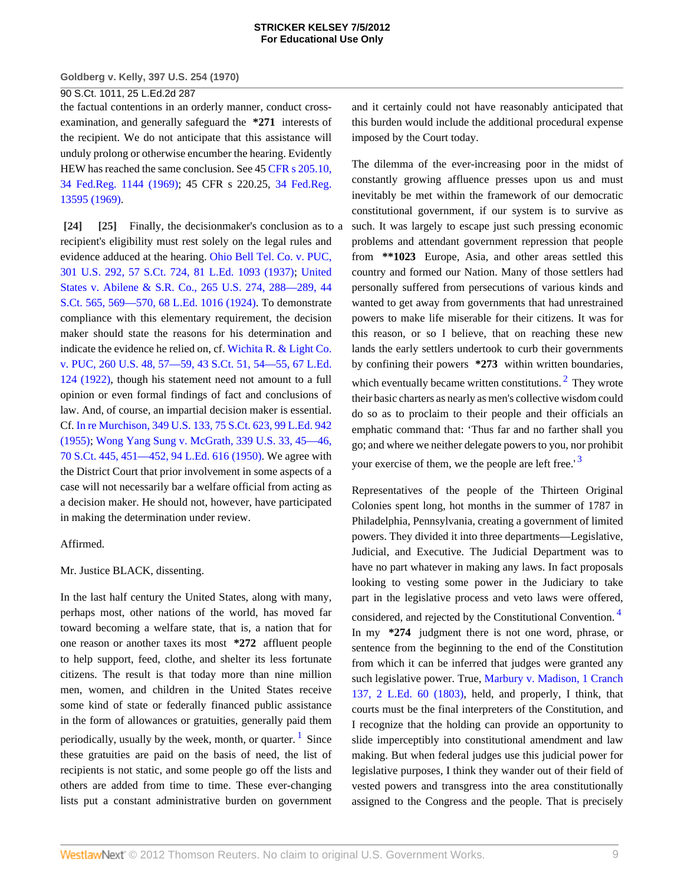### 90 S.Ct. 1011, 25 L.Ed.2d 287

the factual contentions in an orderly manner, conduct crossexamination, and generally safeguard the **\*271** interests of the recipient. We do not anticipate that this assistance will unduly prolong or otherwise encumber the hearing. Evidently HEW has reached the same conclusion. See 45 [CFR s 205.10,](http://www.westlaw.com/Link/Document/FullText?findType=Y&pubNum=1037&cite=34FR1144&originationContext=document&vr=3.0&rs=cblt1.0&transitionType=DocumentItem&contextData=(sc.UserEnteredCitation)) [34 Fed.Reg. 1144 \(1969\);](http://www.westlaw.com/Link/Document/FullText?findType=Y&pubNum=1037&cite=34FR1144&originationContext=document&vr=3.0&rs=cblt1.0&transitionType=DocumentItem&contextData=(sc.UserEnteredCitation)) 45 CFR s 220.25, [34 Fed.Reg.](http://www.westlaw.com/Link/Document/FullText?findType=Y&pubNum=1037&cite=34FR13595&originationContext=document&vr=3.0&rs=cblt1.0&transitionType=DocumentItem&contextData=(sc.UserEnteredCitation)) [13595 \(1969\)](http://www.westlaw.com/Link/Document/FullText?findType=Y&pubNum=1037&cite=34FR13595&originationContext=document&vr=3.0&rs=cblt1.0&transitionType=DocumentItem&contextData=(sc.UserEnteredCitation)).

<span id="page-8-1"></span><span id="page-8-0"></span>**[\[24\]](#page-3-3) [\[25\]](#page-3-4)** Finally, the decisionmaker's conclusion as to a recipient's eligibility must rest solely on the legal rules and evidence adduced at the hearing. [Ohio Bell Tel. Co. v. PUC,](http://www.westlaw.com/Link/Document/FullText?findType=Y&serNum=1937121957&pubNum=708&originationContext=document&vr=3.0&rs=cblt1.0&transitionType=DocumentItem&contextData=(sc.UserEnteredCitation)) [301 U.S. 292, 57 S.Ct. 724, 81 L.Ed. 1093 \(1937\)](http://www.westlaw.com/Link/Document/FullText?findType=Y&serNum=1937121957&pubNum=708&originationContext=document&vr=3.0&rs=cblt1.0&transitionType=DocumentItem&contextData=(sc.UserEnteredCitation)); [United](http://www.westlaw.com/Link/Document/FullText?findType=Y&serNum=1924124097&pubNum=708&originationContext=document&vr=3.0&rs=cblt1.0&transitionType=DocumentItem&contextData=(sc.UserEnteredCitation)#co_pp_sp_708_569) [States v. Abilene & S.R. Co., 265 U.S. 274, 288—289, 44](http://www.westlaw.com/Link/Document/FullText?findType=Y&serNum=1924124097&pubNum=708&originationContext=document&vr=3.0&rs=cblt1.0&transitionType=DocumentItem&contextData=(sc.UserEnteredCitation)#co_pp_sp_708_569) [S.Ct. 565, 569—570, 68 L.Ed. 1016 \(1924\)](http://www.westlaw.com/Link/Document/FullText?findType=Y&serNum=1924124097&pubNum=708&originationContext=document&vr=3.0&rs=cblt1.0&transitionType=DocumentItem&contextData=(sc.UserEnteredCitation)#co_pp_sp_708_569). To demonstrate compliance with this elementary requirement, the decision maker should state the reasons for his determination and indicate the evidence he relied on, cf. [Wichita R. & Light Co.](http://www.westlaw.com/Link/Document/FullText?findType=Y&serNum=1922117906&pubNum=708&originationContext=document&vr=3.0&rs=cblt1.0&transitionType=DocumentItem&contextData=(sc.UserEnteredCitation)#co_pp_sp_708_54) [v. PUC, 260 U.S. 48, 57—59, 43 S.Ct. 51, 54—55, 67 L.Ed.](http://www.westlaw.com/Link/Document/FullText?findType=Y&serNum=1922117906&pubNum=708&originationContext=document&vr=3.0&rs=cblt1.0&transitionType=DocumentItem&contextData=(sc.UserEnteredCitation)#co_pp_sp_708_54) [124 \(1922\),](http://www.westlaw.com/Link/Document/FullText?findType=Y&serNum=1922117906&pubNum=708&originationContext=document&vr=3.0&rs=cblt1.0&transitionType=DocumentItem&contextData=(sc.UserEnteredCitation)#co_pp_sp_708_54) though his statement need not amount to a full opinion or even formal findings of fact and conclusions of law. And, of course, an impartial decision maker is essential. Cf. [In re Murchison, 349 U.S. 133, 75 S.Ct. 623, 99 L.Ed. 942](http://www.westlaw.com/Link/Document/FullText?findType=Y&serNum=1955119803&pubNum=708&originationContext=document&vr=3.0&rs=cblt1.0&transitionType=DocumentItem&contextData=(sc.UserEnteredCitation)) [\(1955\);](http://www.westlaw.com/Link/Document/FullText?findType=Y&serNum=1955119803&pubNum=708&originationContext=document&vr=3.0&rs=cblt1.0&transitionType=DocumentItem&contextData=(sc.UserEnteredCitation)) [Wong Yang Sung v. McGrath, 339 U.S. 33, 45—46,](http://www.westlaw.com/Link/Document/FullText?findType=Y&serNum=1950120143&pubNum=708&originationContext=document&vr=3.0&rs=cblt1.0&transitionType=DocumentItem&contextData=(sc.UserEnteredCitation)#co_pp_sp_708_451) [70 S.Ct. 445, 451—452, 94 L.Ed. 616 \(1950\)](http://www.westlaw.com/Link/Document/FullText?findType=Y&serNum=1950120143&pubNum=708&originationContext=document&vr=3.0&rs=cblt1.0&transitionType=DocumentItem&contextData=(sc.UserEnteredCitation)#co_pp_sp_708_451). We agree with the District Court that prior involvement in some aspects of a case will not necessarily bar a welfare official from acting as a decision maker. He should not, however, have participated in making the determination under review.

### Affirmed.

# Mr. Justice BLACK, dissenting.

In the last half century the United States, along with many, perhaps most, other nations of the world, has moved far toward becoming a welfare state, that is, a nation that for one reason or another taxes its most **\*272** affluent people to help support, feed, clothe, and shelter its less fortunate citizens. The result is that today more than nine million men, women, and children in the United States receive some kind of state or federally financed public assistance in the form of allowances or gratuities, generally paid them periodically, usually by the week, month, or quarter.  $\frac{1}{1}$  $\frac{1}{1}$  $\frac{1}{1}$  Since these gratuities are paid on the basis of need, the list of recipients is not static, and some people go off the lists and others are added from time to time. These ever-changing lists put a constant administrative burden on government and it certainly could not have reasonably anticipated that this burden would include the additional procedural expense imposed by the Court today.

The dilemma of the ever-increasing poor in the midst of constantly growing affluence presses upon us and must inevitably be met within the framework of our democratic constitutional government, if our system is to survive as such. It was largely to escape just such pressing economic problems and attendant government repression that people from **\*\*1023** Europe, Asia, and other areas settled this country and formed our Nation. Many of those settlers had personally suffered from persecutions of various kinds and wanted to get away from governments that had unrestrained powers to make life miserable for their citizens. It was for this reason, or so I believe, that on reaching these new lands the early settlers undertook to curb their governments by confining their powers **\*273** within written boundaries, which eventually became written constitutions.  $2$  They wrote their basic charters as nearly as men's collective wisdom could do so as to proclaim to their people and their officials an emphatic command that: 'Thus far and no farther shall you go; and where we neither delegate powers to you, nor prohibit your exercise of them, we the people are left free.<sup>[3](#page-13-1)</sup>

<span id="page-8-5"></span><span id="page-8-4"></span><span id="page-8-3"></span><span id="page-8-2"></span>Representatives of the people of the Thirteen Original Colonies spent long, hot months in the summer of 1787 in Philadelphia, Pennsylvania, creating a government of limited powers. They divided it into three departments—Legislative, Judicial, and Executive. The Judicial Department was to have no part whatever in making any laws. In fact proposals looking to vesting some power in the Judiciary to take part in the legislative process and veto laws were offered, considered, and rejected by the Constitutional Convention. [4](#page-13-2) In my **\*274** judgment there is not one word, phrase, or sentence from the beginning to the end of the Constitution from which it can be inferred that judges were granted any such legislative power. True, [Marbury v. Madison, 1 Cranch](http://www.westlaw.com/Link/Document/FullText?findType=Y&serNum=1801123932&pubNum=780&originationContext=document&vr=3.0&rs=cblt1.0&transitionType=DocumentItem&contextData=(sc.UserEnteredCitation)) [137, 2 L.Ed. 60 \(1803\)](http://www.westlaw.com/Link/Document/FullText?findType=Y&serNum=1801123932&pubNum=780&originationContext=document&vr=3.0&rs=cblt1.0&transitionType=DocumentItem&contextData=(sc.UserEnteredCitation)), held, and properly, I think, that courts must be the final interpreters of the Constitution, and I recognize that the holding can provide an opportunity to slide imperceptibly into constitutional amendment and law making. But when federal judges use this judicial power for legislative purposes, I think they wander out of their field of vested powers and transgress into the area constitutionally assigned to the Congress and the people. That is precisely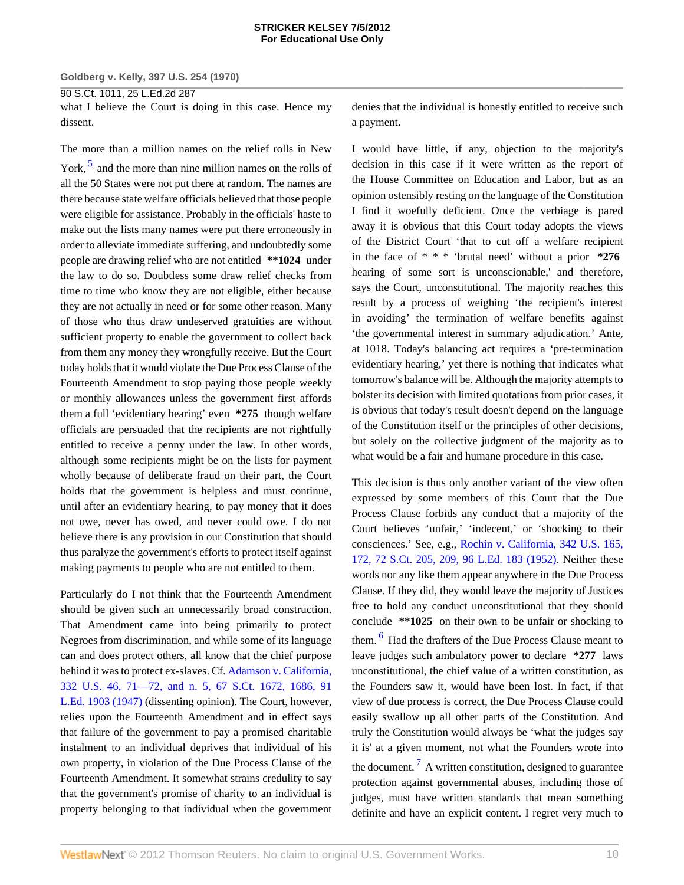90 S.Ct. 1011, 25 L.Ed.2d 287 what I believe the Court is doing in this case. Hence my dissent.

<span id="page-9-0"></span>The more than a million names on the relief rolls in New York, <sup>[5](#page-13-3)</sup> and the more than nine million names on the rolls of all the 50 States were not put there at random. The names are there because state welfare officials believed that those people were eligible for assistance. Probably in the officials' haste to make out the lists many names were put there erroneously in order to alleviate immediate suffering, and undoubtedly some people are drawing relief who are not entitled **\*\*1024** under the law to do so. Doubtless some draw relief checks from time to time who know they are not eligible, either because they are not actually in need or for some other reason. Many of those who thus draw undeserved gratuities are without sufficient property to enable the government to collect back from them any money they wrongfully receive. But the Court today holds that it would violate the Due Process Clause of the Fourteenth Amendment to stop paying those people weekly or monthly allowances unless the government first affords them a full 'evidentiary hearing' even **\*275** though welfare officials are persuaded that the recipients are not rightfully entitled to receive a penny under the law. In other words, although some recipients might be on the lists for payment wholly because of deliberate fraud on their part, the Court holds that the government is helpless and must continue, until after an evidentiary hearing, to pay money that it does not owe, never has owed, and never could owe. I do not believe there is any provision in our Constitution that should thus paralyze the government's efforts to protect itself against making payments to people who are not entitled to them.

Particularly do I not think that the Fourteenth Amendment should be given such an unnecessarily broad construction. That Amendment came into being primarily to protect Negroes from discrimination, and while some of its language can and does protect others, all know that the chief purpose behind it was to protect ex-slaves. Cf. [Adamson v. California,](http://www.westlaw.com/Link/Document/FullText?findType=Y&serNum=1947114039&pubNum=708&originationContext=document&vr=3.0&rs=cblt1.0&transitionType=DocumentItem&contextData=(sc.UserEnteredCitation)#co_pp_sp_708_1686) [332 U.S. 46, 71—72, and n. 5, 67 S.Ct. 1672, 1686, 91](http://www.westlaw.com/Link/Document/FullText?findType=Y&serNum=1947114039&pubNum=708&originationContext=document&vr=3.0&rs=cblt1.0&transitionType=DocumentItem&contextData=(sc.UserEnteredCitation)#co_pp_sp_708_1686) [L.Ed. 1903 \(1947\)](http://www.westlaw.com/Link/Document/FullText?findType=Y&serNum=1947114039&pubNum=708&originationContext=document&vr=3.0&rs=cblt1.0&transitionType=DocumentItem&contextData=(sc.UserEnteredCitation)#co_pp_sp_708_1686) (dissenting opinion). The Court, however, relies upon the Fourteenth Amendment and in effect says that failure of the government to pay a promised charitable instalment to an individual deprives that individual of his own property, in violation of the Due Process Clause of the Fourteenth Amendment. It somewhat strains credulity to say that the government's promise of charity to an individual is property belonging to that individual when the government denies that the individual is honestly entitled to receive such a payment.

I would have little, if any, objection to the majority's decision in this case if it were written as the report of the House Committee on Education and Labor, but as an opinion ostensibly resting on the language of the Constitution I find it woefully deficient. Once the verbiage is pared away it is obvious that this Court today adopts the views of the District Court 'that to cut off a welfare recipient in the face of \* \* \* 'brutal need' without a prior **\*276** hearing of some sort is unconscionable,' and therefore, says the Court, unconstitutional. The majority reaches this result by a process of weighing 'the recipient's interest in avoiding' the termination of welfare benefits against 'the governmental interest in summary adjudication.' Ante, at 1018. Today's balancing act requires a 'pre-termination evidentiary hearing,' yet there is nothing that indicates what tomorrow's balance will be. Although the majority attempts to bolster its decision with limited quotations from prior cases, it is obvious that today's result doesn't depend on the language of the Constitution itself or the principles of other decisions, but solely on the collective judgment of the majority as to what would be a fair and humane procedure in this case.

<span id="page-9-2"></span><span id="page-9-1"></span>This decision is thus only another variant of the view often expressed by some members of this Court that the Due Process Clause forbids any conduct that a majority of the Court believes 'unfair,' 'indecent,' or 'shocking to their consciences.' See, e.g., [Rochin v. California, 342 U.S. 165,](http://www.westlaw.com/Link/Document/FullText?findType=Y&serNum=1952118934&pubNum=708&originationContext=document&vr=3.0&rs=cblt1.0&transitionType=DocumentItem&contextData=(sc.UserEnteredCitation)#co_pp_sp_708_209) [172, 72 S.Ct. 205, 209, 96 L.Ed. 183 \(1952\)](http://www.westlaw.com/Link/Document/FullText?findType=Y&serNum=1952118934&pubNum=708&originationContext=document&vr=3.0&rs=cblt1.0&transitionType=DocumentItem&contextData=(sc.UserEnteredCitation)#co_pp_sp_708_209). Neither these words nor any like them appear anywhere in the Due Process Clause. If they did, they would leave the majority of Justices free to hold any conduct unconstitutional that they should conclude **\*\*1025** on their own to be unfair or shocking to them. <sup>[6](#page-13-4)</sup> Had the drafters of the Due Process Clause meant to leave judges such ambulatory power to declare **\*277** laws unconstitutional, the chief value of a written constitution, as the Founders saw it, would have been lost. In fact, if that view of due process is correct, the Due Process Clause could easily swallow up all other parts of the Constitution. And truly the Constitution would always be 'what the judges say it is' at a given moment, not what the Founders wrote into the document.<sup>[7](#page-13-5)</sup> A written constitution, designed to guarantee protection against governmental abuses, including those of judges, must have written standards that mean something definite and have an explicit content. I regret very much to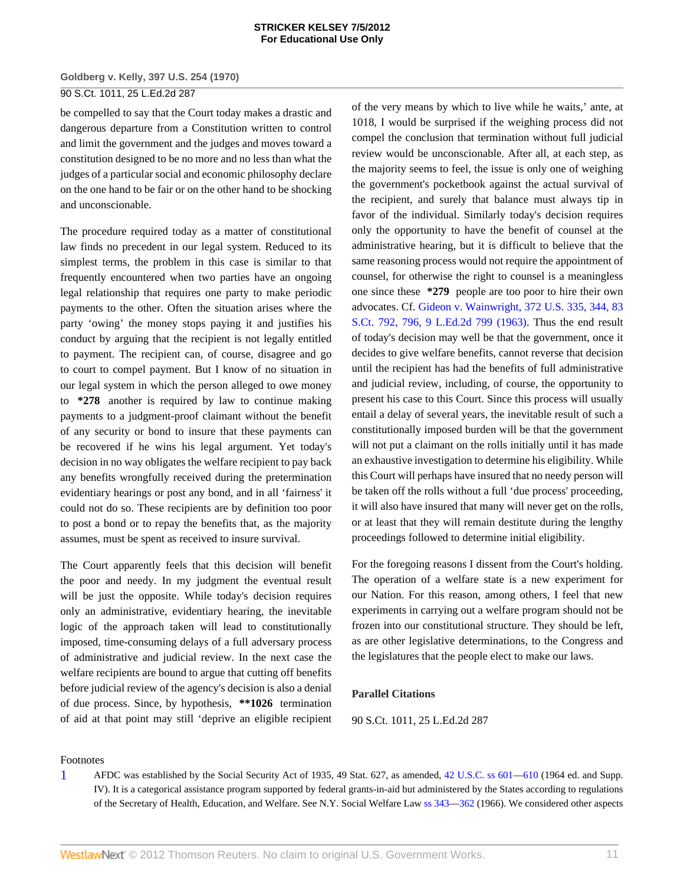# 90 S.Ct. 1011, 25 L.Ed.2d 287

be compelled to say that the Court today makes a drastic and dangerous departure from a Constitution written to control and limit the government and the judges and moves toward a constitution designed to be no more and no less than what the judges of a particular social and economic philosophy declare on the one hand to be fair or on the other hand to be shocking and unconscionable.

The procedure required today as a matter of constitutional law finds no precedent in our legal system. Reduced to its simplest terms, the problem in this case is similar to that frequently encountered when two parties have an ongoing legal relationship that requires one party to make periodic payments to the other. Often the situation arises where the party 'owing' the money stops paying it and justifies his conduct by arguing that the recipient is not legally entitled to payment. The recipient can, of course, disagree and go to court to compel payment. But I know of no situation in our legal system in which the person alleged to owe money to **\*278** another is required by law to continue making payments to a judgment-proof claimant without the benefit of any security or bond to insure that these payments can be recovered if he wins his legal argument. Yet today's decision in no way obligates the welfare recipient to pay back any benefits wrongfully received during the pretermination evidentiary hearings or post any bond, and in all 'fairness' it could not do so. These recipients are by definition too poor to post a bond or to repay the benefits that, as the majority assumes, must be spent as received to insure survival.

The Court apparently feels that this decision will benefit the poor and needy. In my judgment the eventual result will be just the opposite. While today's decision requires only an administrative, evidentiary hearing, the inevitable logic of the approach taken will lead to constitutionally imposed, time-consuming delays of a full adversary process of administrative and judicial review. In the next case the welfare recipients are bound to argue that cutting off benefits before judicial review of the agency's decision is also a denial of due process. Since, by hypothesis, **\*\*1026** termination of aid at that point may still 'deprive an eligible recipient

of the very means by which to live while he waits,' ante, at 1018, I would be surprised if the weighing process did not compel the conclusion that termination without full judicial review would be unconscionable. After all, at each step, as the majority seems to feel, the issue is only one of weighing the government's pocketbook against the actual survival of the recipient, and surely that balance must always tip in favor of the individual. Similarly today's decision requires only the opportunity to have the benefit of counsel at the administrative hearing, but it is difficult to believe that the same reasoning process would not require the appointment of counsel, for otherwise the right to counsel is a meaningless one since these **\*279** people are too poor to hire their own advocates. Cf. [Gideon v. Wainwright, 372 U.S. 335, 344, 83](http://www.westlaw.com/Link/Document/FullText?findType=Y&serNum=1963125313&pubNum=708&originationContext=document&vr=3.0&rs=cblt1.0&transitionType=DocumentItem&contextData=(sc.UserEnteredCitation)#co_pp_sp_708_796) [S.Ct. 792, 796, 9 L.Ed.2d 799 \(1963\).](http://www.westlaw.com/Link/Document/FullText?findType=Y&serNum=1963125313&pubNum=708&originationContext=document&vr=3.0&rs=cblt1.0&transitionType=DocumentItem&contextData=(sc.UserEnteredCitation)#co_pp_sp_708_796) Thus the end result of today's decision may well be that the government, once it decides to give welfare benefits, cannot reverse that decision until the recipient has had the benefits of full administrative and judicial review, including, of course, the opportunity to present his case to this Court. Since this process will usually entail a delay of several years, the inevitable result of such a constitutionally imposed burden will be that the government will not put a claimant on the rolls initially until it has made an exhaustive investigation to determine his eligibility. While this Court will perhaps have insured that no needy person will be taken off the rolls without a full 'due process' proceeding, it will also have insured that many will never get on the rolls, or at least that they will remain destitute during the lengthy proceedings followed to determine initial eligibility.

For the foregoing reasons I dissent from the Court's holding. The operation of a welfare state is a new experiment for our Nation. For this reason, among others, I feel that new experiments in carrying out a welfare program should not be frozen into our constitutional structure. They should be left, as are other legislative determinations, to the Congress and the legislatures that the people elect to make our laws.

### **Parallel Citations**

### 90 S.Ct. 1011, 25 L.Ed.2d 287

### Footnotes

<span id="page-10-0"></span>[1](#page-3-5) AFDC was established by the Social Security Act of 1935, 49 Stat. 627, as amended, [42 U.S.C. ss 601—](http://www.westlaw.com/Link/Document/FullText?findType=L&pubNum=1000546&cite=42USCAS601&originatingDoc=I2361955a9c1e11d9bdd1cfdd544ca3a4&refType=LQ&originationContext=document&vr=3.0&rs=cblt1.0&transitionType=DocumentItem&contextData=(sc.UserEnteredCitation))[610](http://www.westlaw.com/Link/Document/FullText?findType=L&pubNum=1000546&cite=42USCAS610&originatingDoc=I2361955a9c1e11d9bdd1cfdd544ca3a4&refType=LQ&originationContext=document&vr=3.0&rs=cblt1.0&transitionType=DocumentItem&contextData=(sc.UserEnteredCitation)) (1964 ed. and Supp. IV). It is a categorical assistance program supported by federal grants-in-aid but administered by the States according to regulations of the Secretary of Health, Education, and Welfare. See N.Y. Social Welfare Law [ss 343](http://www.westlaw.com/Link/Document/FullText?findType=L&pubNum=1000136&cite=NYSVS343&originatingDoc=I2361955a9c1e11d9bdd1cfdd544ca3a4&refType=LQ&originationContext=document&vr=3.0&rs=cblt1.0&transitionType=DocumentItem&contextData=(sc.UserEnteredCitation))[—362](http://www.westlaw.com/Link/Document/FullText?findType=L&pubNum=1000136&cite=NYSVS362&originatingDoc=I2361955a9c1e11d9bdd1cfdd544ca3a4&refType=LQ&originationContext=document&vr=3.0&rs=cblt1.0&transitionType=DocumentItem&contextData=(sc.UserEnteredCitation)) (1966). We considered other aspects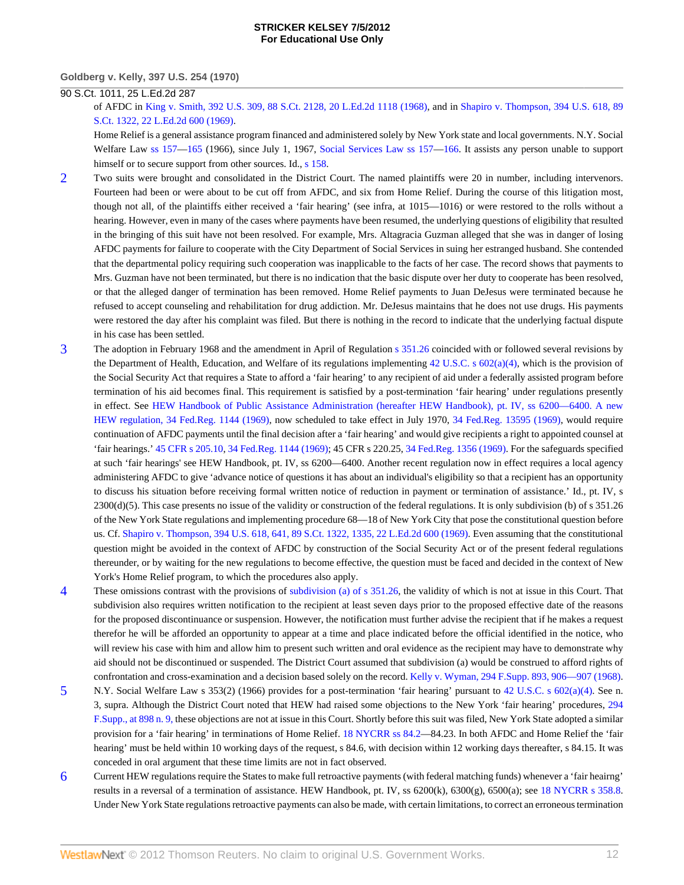### **Goldberg v. Kelly, 397 U.S. 254 (1970)**

#### 90 S.Ct. 1011, 25 L.Ed.2d 287

of AFDC in [King v. Smith, 392 U.S. 309, 88 S.Ct. 2128, 20 L.Ed.2d 1118 \(1968\),](http://www.westlaw.com/Link/Document/FullText?findType=Y&serNum=1968103566&pubNum=708&originationContext=document&vr=3.0&rs=cblt1.0&transitionType=DocumentItem&contextData=(sc.UserEnteredCitation)) and in [Shapiro v. Thompson, 394 U.S. 618, 89](http://www.westlaw.com/Link/Document/FullText?findType=Y&serNum=1969132967&pubNum=708&originationContext=document&vr=3.0&rs=cblt1.0&transitionType=DocumentItem&contextData=(sc.UserEnteredCitation)) [S.Ct. 1322, 22 L.Ed.2d 600 \(1969\)](http://www.westlaw.com/Link/Document/FullText?findType=Y&serNum=1969132967&pubNum=708&originationContext=document&vr=3.0&rs=cblt1.0&transitionType=DocumentItem&contextData=(sc.UserEnteredCitation)).

Home Relief is a general assistance program financed and administered solely by New York state and local governments. N.Y. Social Welfare Law [ss 157—](http://www.westlaw.com/Link/Document/FullText?findType=L&pubNum=1000136&cite=NYSVS157&originatingDoc=I2361955a9c1e11d9bdd1cfdd544ca3a4&refType=LQ&originationContext=document&vr=3.0&rs=cblt1.0&transitionType=DocumentItem&contextData=(sc.UserEnteredCitation))[165](http://www.westlaw.com/Link/Document/FullText?findType=L&pubNum=1000136&cite=NYSVS165&originatingDoc=I2361955a9c1e11d9bdd1cfdd544ca3a4&refType=LQ&originationContext=document&vr=3.0&rs=cblt1.0&transitionType=DocumentItem&contextData=(sc.UserEnteredCitation)) (1966), since July 1, 1967, [Social Services Law ss 157](http://www.westlaw.com/Link/Document/FullText?findType=L&pubNum=1000136&cite=NYSVS157&originatingDoc=I2361955a9c1e11d9bdd1cfdd544ca3a4&refType=LQ&originationContext=document&vr=3.0&rs=cblt1.0&transitionType=DocumentItem&contextData=(sc.UserEnteredCitation))[—166.](http://www.westlaw.com/Link/Document/FullText?findType=L&pubNum=1000136&cite=NYSVS166&originatingDoc=I2361955a9c1e11d9bdd1cfdd544ca3a4&refType=LQ&originationContext=document&vr=3.0&rs=cblt1.0&transitionType=DocumentItem&contextData=(sc.UserEnteredCitation)) It assists any person unable to support himself or to secure support from other sources. Id., [s 158](http://www.westlaw.com/Link/Document/FullText?findType=L&pubNum=1000136&cite=NYSVS158&originatingDoc=I2361955a9c1e11d9bdd1cfdd544ca3a4&refType=LQ&originationContext=document&vr=3.0&rs=cblt1.0&transitionType=DocumentItem&contextData=(sc.UserEnteredCitation)).

- <span id="page-11-0"></span>[2](#page-4-0) Two suits were brought and consolidated in the District Court. The named plaintiffs were 20 in number, including intervenors. Fourteen had been or were about to be cut off from AFDC, and six from Home Relief. During the course of this litigation most, though not all, of the plaintiffs either received a 'fair hearing' (see infra, at 1015—1016) or were restored to the rolls without a hearing. However, even in many of the cases where payments have been resumed, the underlying questions of eligibility that resulted in the bringing of this suit have not been resolved. For example, Mrs. Altagracia Guzman alleged that she was in danger of losing AFDC payments for failure to cooperate with the City Department of Social Services in suing her estranged husband. She contended that the departmental policy requiring such cooperation was inapplicable to the facts of her case. The record shows that payments to Mrs. Guzman have not been terminated, but there is no indication that the basic dispute over her duty to cooperate has been resolved, or that the alleged danger of termination has been removed. Home Relief payments to Juan DeJesus were terminated because he refused to accept counseling and rehabilitation for drug addiction. Mr. DeJesus maintains that he does not use drugs. His payments were restored the day after his complaint was filed. But there is nothing in the record to indicate that the underlying factual dispute in his case has been settled.
- <span id="page-11-1"></span>[3](#page-4-1) The adoption in February 1968 and the amendment in April of Regulation [s 351.26](http://www.westlaw.com/Link/Document/FullText?findType=L&pubNum=1013028&cite=18NYADC351.26&originatingDoc=I2361955a9c1e11d9bdd1cfdd544ca3a4&refType=LQ&originationContext=document&vr=3.0&rs=cblt1.0&transitionType=DocumentItem&contextData=(sc.UserEnteredCitation)) coincided with or followed several revisions by the Department of Health, Education, and Welfare of its regulations implementing  $42 \text{ U.S.C. s}$   $602(a)(4)$ , which is the provision of the Social Security Act that requires a State to afford a 'fair hearing' to any recipient of aid under a federally assisted program before termination of his aid becomes final. This requirement is satisfied by a post-termination 'fair hearing' under regulations presently in effect. See [HEW Handbook of Public Assistance Administration \(hereafter HEW Handbook\), pt. IV, ss 6200—6400. A new](http://www.westlaw.com/Link/Document/FullText?findType=Y&pubNum=1037&cite=34FR1144&originationContext=document&vr=3.0&rs=cblt1.0&transitionType=DocumentItem&contextData=(sc.UserEnteredCitation)) [HEW regulation, 34 Fed.Reg. 1144 \(1969\)](http://www.westlaw.com/Link/Document/FullText?findType=Y&pubNum=1037&cite=34FR1144&originationContext=document&vr=3.0&rs=cblt1.0&transitionType=DocumentItem&contextData=(sc.UserEnteredCitation)), now scheduled to take effect in July 1970, [34 Fed.Reg. 13595 \(1969\)](http://www.westlaw.com/Link/Document/FullText?findType=Y&pubNum=1037&cite=34FR13595&originationContext=document&vr=3.0&rs=cblt1.0&transitionType=DocumentItem&contextData=(sc.UserEnteredCitation)), would require continuation of AFDC payments until the final decision after a 'fair hearing' and would give recipients a right to appointed counsel at 'fair hearings.' [45 CFR s 205.10,](http://www.westlaw.com/Link/Document/FullText?findType=L&pubNum=1000547&cite=45CFRS205.10&originatingDoc=I2361955a9c1e11d9bdd1cfdd544ca3a4&refType=LQ&originationContext=document&vr=3.0&rs=cblt1.0&transitionType=DocumentItem&contextData=(sc.UserEnteredCitation)) [34 Fed.Reg. 1144 \(1969\);](http://www.westlaw.com/Link/Document/FullText?findType=Y&pubNum=1037&cite=34FR1144&originationContext=document&vr=3.0&rs=cblt1.0&transitionType=DocumentItem&contextData=(sc.UserEnteredCitation)) 45 CFR s 220.25, [34 Fed.Reg. 1356 \(1969\).](http://www.westlaw.com/Link/Document/FullText?findType=Y&pubNum=1037&cite=34FR1356&originationContext=document&vr=3.0&rs=cblt1.0&transitionType=DocumentItem&contextData=(sc.UserEnteredCitation)) For the safeguards specified at such 'fair hearings' see HEW Handbook, pt. IV, ss 6200—6400. Another recent regulation now in effect requires a local agency administering AFDC to give 'advance notice of questions it has about an individual's eligibility so that a recipient has an opportunity to discuss his situation before receiving formal written notice of reduction in payment or termination of assistance.' Id., pt. IV, s 2300(d)(5). This case presents no issue of the validity or construction of the federal regulations. It is only subdivision (b) of s 351.26 of the New York State regulations and implementing procedure 68—18 of New York City that pose the constitutional question before us. Cf. [Shapiro v. Thompson, 394 U.S. 618, 641, 89 S.Ct. 1322, 1335, 22 L.Ed.2d 600 \(1969\)](http://www.westlaw.com/Link/Document/FullText?findType=Y&serNum=1969132967&pubNum=708&originationContext=document&vr=3.0&rs=cblt1.0&transitionType=DocumentItem&contextData=(sc.UserEnteredCitation)#co_pp_sp_708_1335). Even assuming that the constitutional question might be avoided in the context of AFDC by construction of the Social Security Act or of the present federal regulations thereunder, or by waiting for the new regulations to become effective, the question must be faced and decided in the context of New York's Home Relief program, to which the procedures also apply.
- <span id="page-11-2"></span>[4](#page-4-2) These omissions contrast with the provisions of [subdivision \(a\) of s 351.26,](http://www.westlaw.com/Link/Document/FullText?findType=L&pubNum=1013028&cite=18NYADC351.26&originatingDoc=I2361955a9c1e11d9bdd1cfdd544ca3a4&refType=LQ&originationContext=document&vr=3.0&rs=cblt1.0&transitionType=DocumentItem&contextData=(sc.UserEnteredCitation)) the validity of which is not at issue in this Court. That subdivision also requires written notification to the recipient at least seven days prior to the proposed effective date of the reasons for the proposed discontinuance or suspension. However, the notification must further advise the recipient that if he makes a request therefor he will be afforded an opportunity to appear at a time and place indicated before the official identified in the notice, who will review his case with him and allow him to present such written and oral evidence as the recipient may have to demonstrate why aid should not be discontinued or suspended. The District Court assumed that subdivision (a) would be construed to afford rights of confrontation and cross-examination and a decision based solely on the record. [Kelly v. Wyman, 294 F.Supp. 893, 906—907 \(1968\).](http://www.westlaw.com/Link/Document/FullText?findType=Y&serNum=1968115544&pubNum=345&originationContext=document&vr=3.0&rs=cblt1.0&transitionType=DocumentItem&contextData=(sc.UserEnteredCitation)#co_pp_sp_345_906)
- <span id="page-11-3"></span>[5](#page-4-3) N.Y. Social Welfare Law s 353(2) (1966) provides for a post-termination 'fair hearing' pursuant to [42 U.S.C. s 602\(a\)\(4\)](http://www.westlaw.com/Link/Document/FullText?findType=L&pubNum=1000546&cite=42USCAS602&originationContext=document&vr=3.0&rs=cblt1.0&transitionType=DocumentItem&contextData=(sc.UserEnteredCitation)#co_pp_d40e000072291). See n. 3, supra. Although the District Court noted that HEW had raised some objections to the New York 'fair hearing' procedures, [294](http://www.westlaw.com/Link/Document/FullText?findType=Y&serNum=1968115544&pubNum=345&originationContext=document&vr=3.0&rs=cblt1.0&transitionType=DocumentItem&contextData=(sc.UserEnteredCitation)#co_pp_sp_345_898) [F.Supp., at 898 n. 9,](http://www.westlaw.com/Link/Document/FullText?findType=Y&serNum=1968115544&pubNum=345&originationContext=document&vr=3.0&rs=cblt1.0&transitionType=DocumentItem&contextData=(sc.UserEnteredCitation)#co_pp_sp_345_898) these objections are not at issue in this Court. Shortly before this suit was filed, New York State adopted a similar provision for a 'fair hearing' in terminations of Home Relief. [18 NYCRR ss 84.2—](http://www.westlaw.com/Link/Document/FullText?findType=L&pubNum=1013028&cite=18NYADC84.2&originatingDoc=I2361955a9c1e11d9bdd1cfdd544ca3a4&refType=LQ&originationContext=document&vr=3.0&rs=cblt1.0&transitionType=DocumentItem&contextData=(sc.UserEnteredCitation))84.23. In both AFDC and Home Relief the 'fair hearing' must be held within 10 working days of the request, s 84.6, with decision within 12 working days thereafter, s 84.15. It was conceded in oral argument that these time limits are not in fact observed.
- <span id="page-11-4"></span>[6](#page-4-4) Current HEW regulations require the States to make full retroactive payments (with federal matching funds) whenever a 'fair heairng' results in a reversal of a termination of assistance. HEW Handbook, pt. IV, ss 6200(k), 6300(g), 6500(a); see [18 NYCRR s 358.8.](http://www.westlaw.com/Link/Document/FullText?findType=L&pubNum=1013028&cite=18NYADC358.8&originatingDoc=I2361955a9c1e11d9bdd1cfdd544ca3a4&refType=LQ&originationContext=document&vr=3.0&rs=cblt1.0&transitionType=DocumentItem&contextData=(sc.UserEnteredCitation)) Under New York State regulations retroactive payments can also be made, with certain limitations, to correct an erroneous termination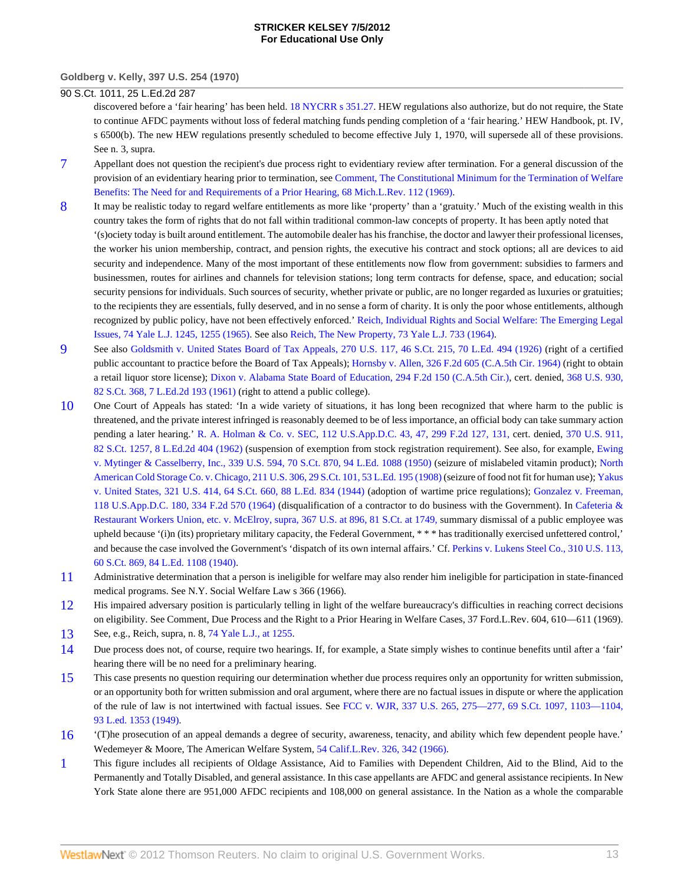### **Goldberg v. Kelly, 397 U.S. 254 (1970)**

### 90 S.Ct. 1011, 25 L.Ed.2d 287

discovered before a 'fair hearing' has been held. [18 NYCRR s 351.27](http://www.westlaw.com/Link/Document/FullText?findType=L&pubNum=1013028&cite=18NYADC351.27&originatingDoc=I2361955a9c1e11d9bdd1cfdd544ca3a4&refType=LQ&originationContext=document&vr=3.0&rs=cblt1.0&transitionType=DocumentItem&contextData=(sc.UserEnteredCitation)). HEW regulations also authorize, but do not require, the State to continue AFDC payments without loss of federal matching funds pending completion of a 'fair hearing.' HEW Handbook, pt. IV, s 6500(b). The new HEW regulations presently scheduled to become effective July 1, 1970, will supersede all of these provisions. See n. 3, supra.

- <span id="page-12-0"></span>[7](#page-4-5) Appellant does not question the recipient's due process right to evidentiary review after termination. For a general discussion of the provision of an evidentiary hearing prior to termination, see [Comment, The Constitutional Minimum for the Termination of Welfare](http://www.westlaw.com/Link/Document/FullText?findType=Y&pubNum=1192&cite=68MILR112&originationContext=document&vr=3.0&rs=cblt1.0&transitionType=DocumentItem&contextData=(sc.UserEnteredCitation)) [Benefits: The Need for and Requirements of a Prior Hearing, 68 Mich.L.Rev. 112 \(1969\)](http://www.westlaw.com/Link/Document/FullText?findType=Y&pubNum=1192&cite=68MILR112&originationContext=document&vr=3.0&rs=cblt1.0&transitionType=DocumentItem&contextData=(sc.UserEnteredCitation)).
- <span id="page-12-1"></span>[8](#page-5-6) It may be realistic today to regard welfare entitlements as more like 'property' than a 'gratuity.' Much of the existing wealth in this country takes the form of rights that do not fall within traditional common-law concepts of property. It has been aptly noted that '(s)ociety today is built around entitlement. The automobile dealer has his franchise, the doctor and lawyer their professional licenses, the worker his union membership, contract, and pension rights, the executive his contract and stock options; all are devices to aid security and independence. Many of the most important of these entitlements now flow from government: subsidies to farmers and businessmen, routes for airlines and channels for television stations; long term contracts for defense, space, and education; social security pensions for individuals. Such sources of security, whether private or public, are no longer regarded as luxuries or gratuities; to the recipients they are essentials, fully deserved, and in no sense a form of charity. It is only the poor whose entitlements, although recognized by public policy, have not been effectively enforced.' [Reich, Individual Rights and Social Welfare: The Emerging Legal](http://www.westlaw.com/Link/Document/FullText?findType=Y&serNum=0332862494&pubNum=1292&originationContext=document&vr=3.0&rs=cblt1.0&transitionType=DocumentItem&contextData=(sc.UserEnteredCitation)#co_pp_sp_1292_1255) [Issues, 74 Yale L.J. 1245, 1255 \(1965\)](http://www.westlaw.com/Link/Document/FullText?findType=Y&serNum=0332862494&pubNum=1292&originationContext=document&vr=3.0&rs=cblt1.0&transitionType=DocumentItem&contextData=(sc.UserEnteredCitation)#co_pp_sp_1292_1255). See also [Reich, The New Property, 73 Yale L.J. 733 \(1964\)](http://www.westlaw.com/Link/Document/FullText?findType=Y&pubNum=1292&cite=73YALELJ733&originationContext=document&vr=3.0&rs=cblt1.0&transitionType=DocumentItem&contextData=(sc.UserEnteredCitation)).
- <span id="page-12-2"></span>[9](#page-5-7) See also [Goldsmith v. United States Board of Tax Appeals, 270 U.S. 117, 46 S.Ct. 215, 70 L.Ed. 494 \(1926\)](http://www.westlaw.com/Link/Document/FullText?findType=Y&serNum=1926121902&pubNum=708&originationContext=document&vr=3.0&rs=cblt1.0&transitionType=DocumentItem&contextData=(sc.UserEnteredCitation)) (right of a certified public accountant to practice before the Board of Tax Appeals); [Hornsby v. Allen, 326 F.2d 605 \(C.A.5th Cir. 1964\)](http://www.westlaw.com/Link/Document/FullText?findType=Y&serNum=1964102445&pubNum=350&originationContext=document&vr=3.0&rs=cblt1.0&transitionType=DocumentItem&contextData=(sc.UserEnteredCitation)) (right to obtain a retail liquor store license); [Dixon v. Alabama State Board of Education, 294 F.2d 150 \(C.A.5th Cir.\),](http://www.westlaw.com/Link/Document/FullText?findType=Y&serNum=1961114402&pubNum=350&originationContext=document&vr=3.0&rs=cblt1.0&transitionType=DocumentItem&contextData=(sc.UserEnteredCitation)) cert. denied, [368 U.S. 930,](http://www.westlaw.com/Link/Document/FullText?findType=Y&serNum=1961203301&pubNum=708&originationContext=document&vr=3.0&rs=cblt1.0&transitionType=DocumentItem&contextData=(sc.UserEnteredCitation)) [82 S.Ct. 368, 7 L.Ed.2d 193 \(1961\)](http://www.westlaw.com/Link/Document/FullText?findType=Y&serNum=1961203301&pubNum=708&originationContext=document&vr=3.0&rs=cblt1.0&transitionType=DocumentItem&contextData=(sc.UserEnteredCitation)) (right to attend a public college).
- <span id="page-12-3"></span>[10](#page-5-8) One Court of Appeals has stated: 'In a wide variety of situations, it has long been recognized that where harm to the public is threatened, and the private interest infringed is reasonably deemed to be of less importance, an official body can take summary action pending a later hearing.' [R. A. Holman & Co. v. SEC, 112 U.S.App.D.C. 43, 47, 299 F.2d 127, 131,](http://www.westlaw.com/Link/Document/FullText?findType=Y&serNum=1962113789&pubNum=350&originationContext=document&vr=3.0&rs=cblt1.0&transitionType=DocumentItem&contextData=(sc.UserEnteredCitation)#co_pp_sp_350_131) cert. denied, [370 U.S. 911,](http://www.westlaw.com/Link/Document/FullText?findType=Y&serNum=1962203550&pubNum=708&originationContext=document&vr=3.0&rs=cblt1.0&transitionType=DocumentItem&contextData=(sc.UserEnteredCitation)) [82 S.Ct. 1257, 8 L.Ed.2d 404 \(1962\)](http://www.westlaw.com/Link/Document/FullText?findType=Y&serNum=1962203550&pubNum=708&originationContext=document&vr=3.0&rs=cblt1.0&transitionType=DocumentItem&contextData=(sc.UserEnteredCitation)) (suspension of exemption from stock registration requirement). See also, for example, [Ewing](http://www.westlaw.com/Link/Document/FullText?findType=Y&serNum=1950116992&pubNum=708&originationContext=document&vr=3.0&rs=cblt1.0&transitionType=DocumentItem&contextData=(sc.UserEnteredCitation)) [v. Mytinger & Casselberry, Inc., 339 U.S. 594, 70 S.Ct. 870, 94 L.Ed. 1088 \(1950\)](http://www.westlaw.com/Link/Document/FullText?findType=Y&serNum=1950116992&pubNum=708&originationContext=document&vr=3.0&rs=cblt1.0&transitionType=DocumentItem&contextData=(sc.UserEnteredCitation)) (seizure of mislabeled vitamin product); [North](http://www.westlaw.com/Link/Document/FullText?findType=Y&serNum=1908194564&pubNum=708&originationContext=document&vr=3.0&rs=cblt1.0&transitionType=DocumentItem&contextData=(sc.UserEnteredCitation)) [American Cold Storage Co. v. Chicago, 211 U.S. 306, 29 S.Ct. 101, 53 L.Ed. 195 \(1908\)](http://www.westlaw.com/Link/Document/FullText?findType=Y&serNum=1908194564&pubNum=708&originationContext=document&vr=3.0&rs=cblt1.0&transitionType=DocumentItem&contextData=(sc.UserEnteredCitation)) (seizure of food not fit for human use); [Yakus](http://www.westlaw.com/Link/Document/FullText?findType=Y&serNum=1944118103&pubNum=708&originationContext=document&vr=3.0&rs=cblt1.0&transitionType=DocumentItem&contextData=(sc.UserEnteredCitation)) [v. United States, 321 U.S. 414, 64 S.Ct. 660, 88 L.Ed. 834 \(1944\)](http://www.westlaw.com/Link/Document/FullText?findType=Y&serNum=1944118103&pubNum=708&originationContext=document&vr=3.0&rs=cblt1.0&transitionType=DocumentItem&contextData=(sc.UserEnteredCitation)) (adoption of wartime price regulations); [Gonzalez v. Freeman,](http://www.westlaw.com/Link/Document/FullText?findType=Y&serNum=1964102031&pubNum=350&originationContext=document&vr=3.0&rs=cblt1.0&transitionType=DocumentItem&contextData=(sc.UserEnteredCitation)) [118 U.S.App.D.C. 180, 334 F.2d 570 \(1964\)](http://www.westlaw.com/Link/Document/FullText?findType=Y&serNum=1964102031&pubNum=350&originationContext=document&vr=3.0&rs=cblt1.0&transitionType=DocumentItem&contextData=(sc.UserEnteredCitation)) (disqualification of a contractor to do business with the Government). In [Cafeteria &](http://www.westlaw.com/Link/Document/FullText?findType=Y&serNum=1961125534&pubNum=708&originationContext=document&vr=3.0&rs=cblt1.0&transitionType=DocumentItem&contextData=(sc.UserEnteredCitation)#co_pp_sp_708_1749) [Restaurant Workers Union, etc. v. McElroy, supra, 367 U.S. at 896, 81 S.Ct. at 1749,](http://www.westlaw.com/Link/Document/FullText?findType=Y&serNum=1961125534&pubNum=708&originationContext=document&vr=3.0&rs=cblt1.0&transitionType=DocumentItem&contextData=(sc.UserEnteredCitation)#co_pp_sp_708_1749) summary dismissal of a public employee was upheld because '(i)n (its) proprietary military capacity, the Federal Government, \* \* \* has traditionally exercised unfettered control,' and because the case involved the Government's 'dispatch of its own internal affairs.' Cf. [Perkins v. Lukens Steel Co., 310 U.S. 113,](http://www.westlaw.com/Link/Document/FullText?findType=Y&serNum=1940125771&pubNum=708&originationContext=document&vr=3.0&rs=cblt1.0&transitionType=DocumentItem&contextData=(sc.UserEnteredCitation)) [60 S.Ct. 869, 84 L.Ed. 1108 \(1940\)](http://www.westlaw.com/Link/Document/FullText?findType=Y&serNum=1940125771&pubNum=708&originationContext=document&vr=3.0&rs=cblt1.0&transitionType=DocumentItem&contextData=(sc.UserEnteredCitation)).
- <span id="page-12-4"></span>[11](#page-5-9) Administrative determination that a person is ineligible for welfare may also render him ineligible for participation in state-financed medical programs. See N.Y. Social Welfare Law s 366 (1966).
- <span id="page-12-5"></span>[12](#page-5-10) His impaired adversary position is particularly telling in light of the welfare bureaucracy's difficulties in reaching correct decisions on eligibility. See Comment, Due Process and the Right to a Prior Hearing in Welfare Cases, 37 Ford.L.Rev. 604, 610—611 (1969).
- <span id="page-12-6"></span>[13](#page-5-11) See, e.g., Reich, supra, n. 8, [74 Yale L.J., at 1255.](http://www.westlaw.com/Link/Document/FullText?findType=Y&cite=74YALELJ1245&originationContext=document&vr=3.0&rs=cblt1.0&transitionType=DocumentItem&contextData=(sc.UserEnteredCitation))
- <span id="page-12-7"></span>[14](#page-6-6) Due process does not, of course, require two hearings. If, for example, a State simply wishes to continue benefits until after a 'fair' hearing there will be no need for a preliminary hearing.
- <span id="page-12-8"></span>[15](#page-7-11) This case presents no question requiring our determination whether due process requires only an opportunity for written submission, or an opportunity both for written submission and oral argument, where there are no factual issues in dispute or where the application of the rule of law is not intertwined with factual issues. See [FCC v. WJR, 337 U.S. 265, 275—277, 69 S.Ct. 1097, 1103—1104,](http://www.westlaw.com/Link/Document/FullText?findType=Y&serNum=1949116848&pubNum=708&originationContext=document&vr=3.0&rs=cblt1.0&transitionType=DocumentItem&contextData=(sc.UserEnteredCitation)#co_pp_sp_708_1103) [93 L.ed. 1353 \(1949\)](http://www.westlaw.com/Link/Document/FullText?findType=Y&serNum=1949116848&pubNum=708&originationContext=document&vr=3.0&rs=cblt1.0&transitionType=DocumentItem&contextData=(sc.UserEnteredCitation)#co_pp_sp_708_1103).
- <span id="page-12-9"></span>[16](#page-7-12) '(T)he prosecution of an appeal demands a degree of security, awareness, tenacity, and ability which few dependent people have.' Wedemeyer & Moore, The American Welfare System, [54 Calif.L.Rev. 326, 342 \(1966\).](http://www.westlaw.com/Link/Document/FullText?findType=Y&pubNum=1107&cite=54CALIFLREV326&originationContext=document&vr=3.0&rs=cblt1.0&transitionType=DocumentItem&contextData=(sc.UserEnteredCitation)#co_pp_sp_1107_342)
- <span id="page-12-10"></span>[1](#page-8-2) This figure includes all recipients of Oldage Assistance, Aid to Families with Dependent Children, Aid to the Blind, Aid to the Permanently and Totally Disabled, and general assistance. In this case appellants are AFDC and general assistance recipients. In New York State alone there are 951,000 AFDC recipients and 108,000 on general assistance. In the Nation as a whole the comparable